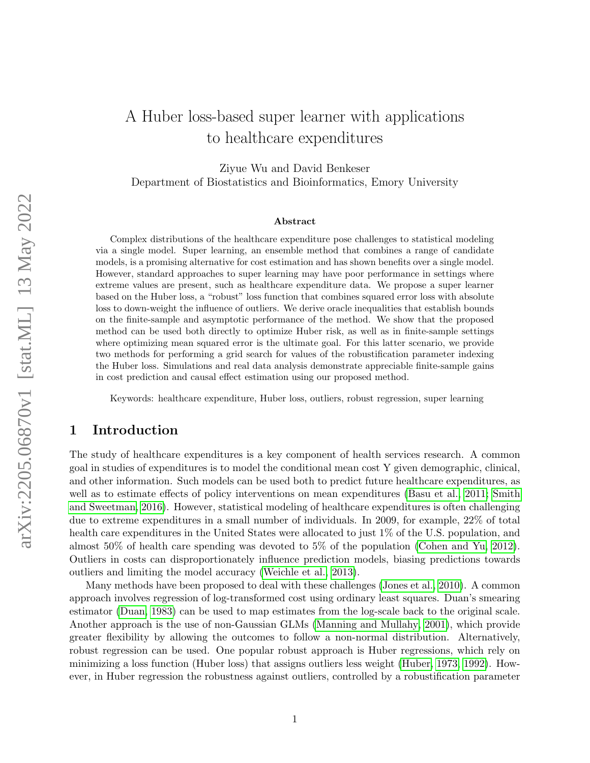## A Huber loss-based super learner with applications to healthcare expenditures

Ziyue Wu and David Benkeser Department of Biostatistics and Bioinformatics, Emory University

#### Abstract

Complex distributions of the healthcare expenditure pose challenges to statistical modeling via a single model. Super learning, an ensemble method that combines a range of candidate models, is a promising alternative for cost estimation and has shown benefits over a single model. However, standard approaches to super learning may have poor performance in settings where extreme values are present, such as healthcare expenditure data. We propose a super learner based on the Huber loss, a "robust" loss function that combines squared error loss with absolute loss to down-weight the influence of outliers. We derive oracle inequalities that establish bounds on the finite-sample and asymptotic performance of the method. We show that the proposed method can be used both directly to optimize Huber risk, as well as in finite-sample settings where optimizing mean squared error is the ultimate goal. For this latter scenario, we provide two methods for performing a grid search for values of the robustification parameter indexing the Huber loss. Simulations and real data analysis demonstrate appreciable finite-sample gains in cost prediction and causal effect estimation using our proposed method.

Keywords: healthcare expenditure, Huber loss, outliers, robust regression, super learning

## 1 Introduction

The study of healthcare expenditures is a key component of health services research. A common goal in studies of expenditures is to model the conditional mean cost Y given demographic, clinical, and other information. Such models can be used both to predict future healthcare expenditures, as well as to estimate effects of policy interventions on mean expenditures [\(Basu et al., 2011;](#page-10-0) [Smith](#page-12-0) [and Sweetman, 2016\)](#page-12-0). However, statistical modeling of healthcare expenditures is often challenging due to extreme expenditures in a small number of individuals. In 2009, for example, 22% of total health care expenditures in the United States were allocated to just 1\% of the U.S. population, and almost 50% of health care spending was devoted to 5% of the population [\(Cohen and Yu, 2012\)](#page-11-0). Outliers in costs can disproportionately influence prediction models, biasing predictions towards outliers and limiting the model accuracy [\(Weichle et al., 2013\)](#page-12-1).

Many methods have been proposed to deal with these challenges [\(Jones et al., 2010\)](#page-11-1). A common approach involves regression of log-transformed cost using ordinary least squares. Duan's smearing estimator [\(Duan, 1983\)](#page-11-2) can be used to map estimates from the log-scale back to the original scale. Another approach is the use of non-Gaussian GLMs [\(Manning and Mullahy, 2001\)](#page-11-3), which provide greater flexibility by allowing the outcomes to follow a non-normal distribution. Alternatively, robust regression can be used. One popular robust approach is Huber regressions, which rely on minimizing a loss function (Huber loss) that assigns outliers less weight [\(Huber, 1973,](#page-11-4) [1992\)](#page-11-5). However, in Huber regression the robustness against outliers, controlled by a robustification parameter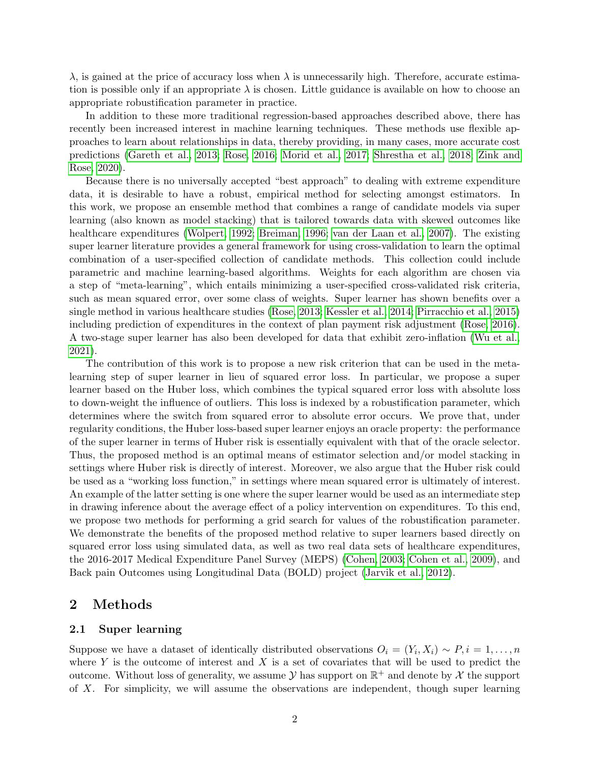$\lambda$ , is gained at the price of accuracy loss when  $\lambda$  is unnecessarily high. Therefore, accurate estimation is possible only if an appropriate  $\lambda$  is chosen. Little guidance is available on how to choose an appropriate robustification parameter in practice.

In addition to these more traditional regression-based approaches described above, there has recently been increased interest in machine learning techniques. These methods use flexible approaches to learn about relationships in data, thereby providing, in many cases, more accurate cost predictions [\(Gareth et al., 2013;](#page-11-6) [Rose, 2016;](#page-12-2) [Morid et al., 2017;](#page-11-7) [Shrestha et al., 2018;](#page-12-3) [Zink and](#page-12-4) [Rose, 2020\)](#page-12-4).

Because there is no universally accepted "best approach" to dealing with extreme expenditure data, it is desirable to have a robust, empirical method for selecting amongst estimators. In this work, we propose an ensemble method that combines a range of candidate models via super learning (also known as model stacking) that is tailored towards data with skewed outcomes like healthcare expenditures [\(Wolpert, 1992;](#page-12-5) [Breiman, 1996;](#page-10-1) [van der Laan et al., 2007\)](#page-12-6). The existing super learner literature provides a general framework for using cross-validation to learn the optimal combination of a user-specified collection of candidate methods. This collection could include parametric and machine learning-based algorithms. Weights for each algorithm are chosen via a step of "meta-learning", which entails minimizing a user-specified cross-validated risk criteria, such as mean squared error, over some class of weights. Super learner has shown benefits over a single method in various healthcare studies [\(Rose, 2013;](#page-12-7) [Kessler et al., 2014;](#page-11-8) [Pirracchio et al., 2015\)](#page-11-9) including prediction of expenditures in the context of plan payment risk adjustment [\(Rose, 2016\)](#page-12-2). A two-stage super learner has also been developed for data that exhibit zero-inflation [\(Wu et al.,](#page-12-8) [2021\)](#page-12-8).

The contribution of this work is to propose a new risk criterion that can be used in the metalearning step of super learner in lieu of squared error loss. In particular, we propose a super learner based on the Huber loss, which combines the typical squared error loss with absolute loss to down-weight the influence of outliers. This loss is indexed by a robustification parameter, which determines where the switch from squared error to absolute error occurs. We prove that, under regularity conditions, the Huber loss-based super learner enjoys an oracle property: the performance of the super learner in terms of Huber risk is essentially equivalent with that of the oracle selector. Thus, the proposed method is an optimal means of estimator selection and/or model stacking in settings where Huber risk is directly of interest. Moreover, we also argue that the Huber risk could be used as a "working loss function," in settings where mean squared error is ultimately of interest. An example of the latter setting is one where the super learner would be used as an intermediate step in drawing inference about the average effect of a policy intervention on expenditures. To this end, we propose two methods for performing a grid search for values of the robustification parameter. We demonstrate the benefits of the proposed method relative to super learners based directly on squared error loss using simulated data, as well as two real data sets of healthcare expenditures, the 2016-2017 Medical Expenditure Panel Survey (MEPS) [\(Cohen, 2003;](#page-10-2) [Cohen et al., 2009\)](#page-10-3), and Back pain Outcomes using Longitudinal Data (BOLD) project [\(Jarvik et al., 2012\)](#page-11-10).

## 2 Methods

#### 2.1 Super learning

Suppose we have a dataset of identically distributed observations  $O_i = (Y_i, X_i) \sim P, i = 1, \ldots, n$ where  $Y$  is the outcome of interest and  $X$  is a set of covariates that will be used to predict the outcome. Without loss of generality, we assume  $\mathcal Y$  has support on  $\mathbb R^+$  and denote by  $\mathcal X$  the support of X. For simplicity, we will assume the observations are independent, though super learning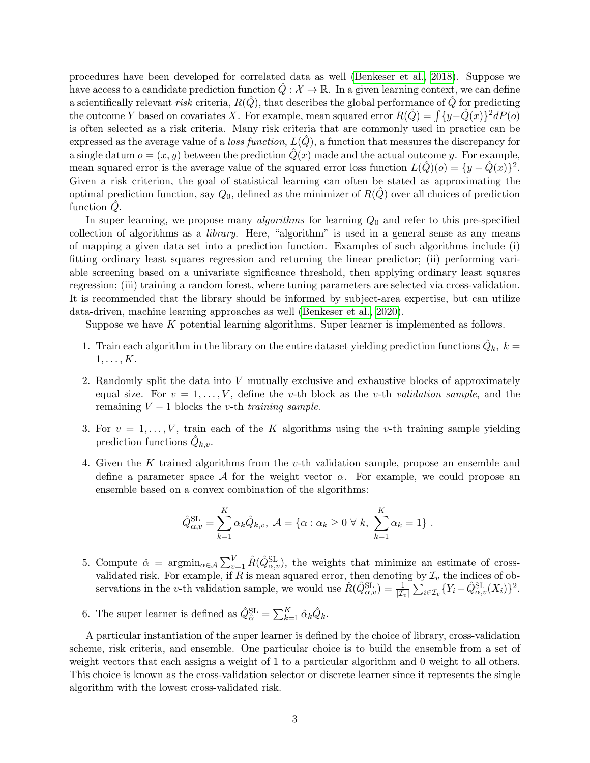procedures have been developed for correlated data as well [\(Benkeser et al., 2018\)](#page-10-4). Suppose we have access to a candidate prediction function  $\hat{Q}: \mathcal{X} \to \mathbb{R}$ . In a given learning context, we can define a scientifically relevant risk criteria,  $R(Q)$ , that describes the global performance of Q for predicting the outcome Y based on covariates X. For example, mean squared error  $R(\hat{Q}) = \int \{y - \hat{Q}(x)\}^2 dP(o)$ is often selected as a risk criteria. Many risk criteria that are commonly used in practice can be expressed as the average value of a loss function,  $L(Q)$ , a function that measures the discrepancy for a single datum  $o = (x, y)$  between the prediction  $\hat{Q}(x)$  made and the actual outcome y. For example, mean squared error is the average value of the squared error loss function  $L(\hat{Q})(o) = \{y - \hat{Q}(x)\}^2$ . Given a risk criterion, the goal of statistical learning can often be stated as approximating the optimal prediction function, say  $Q_0$ , defined as the minimizer of  $R(Q)$  over all choices of prediction function  $Q$ .

In super learning, we propose many *algorithms* for learning  $Q_0$  and refer to this pre-specified collection of algorithms as a library. Here, "algorithm" is used in a general sense as any means of mapping a given data set into a prediction function. Examples of such algorithms include (i) fitting ordinary least squares regression and returning the linear predictor; (ii) performing variable screening based on a univariate significance threshold, then applying ordinary least squares regression; (iii) training a random forest, where tuning parameters are selected via cross-validation. It is recommended that the library should be informed by subject-area expertise, but can utilize data-driven, machine learning approaches as well [\(Benkeser et al., 2020\)](#page-10-5).

Suppose we have K potential learning algorithms. Super learner is implemented as follows.

- 1. Train each algorithm in the library on the entire dataset yielding prediction functions  $\hat{Q}_k$ ,  $k =$  $1, \ldots, K$ .
- 2. Randomly split the data into V mutually exclusive and exhaustive blocks of approximately equal size. For  $v = 1, \ldots, V$ , define the v-th block as the v-th validation sample, and the remaining  $V - 1$  blocks the v-th training sample.
- 3. For  $v = 1, \ldots, V$ , train each of the K algorithms using the v-th training sample yielding prediction functions  $\hat{Q}_{k,v}$ .
- 4. Given the K trained algorithms from the v-th validation sample, propose an ensemble and define a parameter space  $\mathcal A$  for the weight vector  $\alpha$ . For example, we could propose an ensemble based on a convex combination of the algorithms:

$$
\hat{Q}_{\alpha,v}^{\text{SL}} = \sum_{k=1}^{K} \alpha_k \hat{Q}_{k,v}, \ \mathcal{A} = \{ \alpha : \alpha_k \geq 0 \ \forall \ k, \ \sum_{k=1}^{K} \alpha_k = 1 \}.
$$

- 5. Compute  $\hat{\alpha} = \operatorname{argmin}_{\alpha \in A} \sum_{v=1}^{V} \hat{R}(\hat{Q}_{\alpha,v}^{\text{SL}})$ , the weights that minimize an estimate of crossvalidated risk. For example, if R is mean squared error, then denoting by  $\mathcal{I}_v$  the indices of observations in the v-th validation sample, we would use  $\hat{R}(\hat{Q}_{\alpha,v}^{\text{SL}}) = \frac{1}{|\mathcal{I}_v|} \sum_{i \in \mathcal{I}_v} \{Y_i - \hat{Q}_{\alpha,v}^{\text{SL}}(X_i)\}^2$ .
- 6. The super learner is defined as  $\hat{Q}_{\hat{\alpha}}^{\text{SL}} = \sum_{k=1}^{K} \hat{\alpha}_k \hat{Q}_k$ .

A particular instantiation of the super learner is defined by the choice of library, cross-validation scheme, risk criteria, and ensemble. One particular choice is to build the ensemble from a set of weight vectors that each assigns a weight of 1 to a particular algorithm and 0 weight to all others. This choice is known as the cross-validation selector or discrete learner since it represents the single algorithm with the lowest cross-validated risk.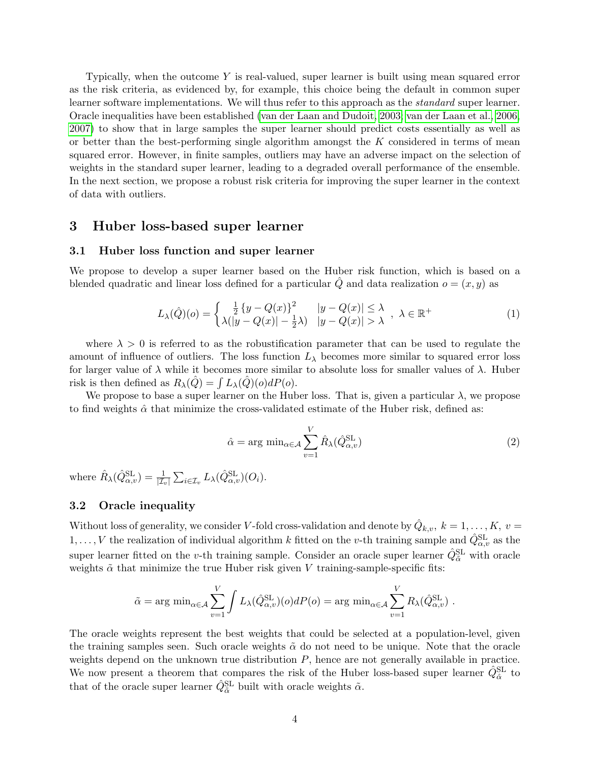Typically, when the outcome  $Y$  is real-valued, super learner is built using mean squared error as the risk criteria, as evidenced by, for example, this choice being the default in common super learner software implementations. We will thus refer to this approach as the *standard* super learner. Oracle inequalities have been established [\(van der Laan and Dudoit, 2003;](#page-12-9) [van der Laan et al., 2006,](#page-12-10) [2007\)](#page-12-6) to show that in large samples the super learner should predict costs essentially as well as or better than the best-performing single algorithm amongst the  $K$  considered in terms of mean squared error. However, in finite samples, outliers may have an adverse impact on the selection of weights in the standard super learner, leading to a degraded overall performance of the ensemble. In the next section, we propose a robust risk criteria for improving the super learner in the context of data with outliers.

### 3 Huber loss-based super learner

#### 3.1 Huber loss function and super learner

We propose to develop a super learner based on the Huber risk function, which is based on a blended quadratic and linear loss defined for a particular  $\hat{Q}$  and data realization  $o = (x, y)$  as

$$
L_{\lambda}(\hat{Q})(o) = \begin{cases} \frac{1}{2} \left\{ y - Q(x) \right\}^{2} & |y - Q(x)| \leq \lambda \\ \lambda (|y - Q(x)| - \frac{1}{2}\lambda) & |y - Q(x)| > \lambda \end{cases}, \lambda \in \mathbb{R}^{+} \tag{1}
$$

where  $\lambda > 0$  is referred to as the robustification parameter that can be used to regulate the amount of influence of outliers. The loss function  $L_{\lambda}$  becomes more similar to squared error loss for larger value of  $\lambda$  while it becomes more similar to absolute loss for smaller values of  $\lambda$ . Huber risk is then defined as  $R_{\lambda}(\hat{Q}) = \int L_{\lambda}(\hat{Q})(o) dP(o)$ .

We propose to base a super learner on the Huber loss. That is, given a particular  $\lambda$ , we propose to find weights  $\hat{\alpha}$  that minimize the cross-validated estimate of the Huber risk, defined as:

$$
\hat{\alpha} = \arg \min_{\alpha \in \mathcal{A}} \sum_{v=1}^{V} \hat{R}_{\lambda} (\hat{Q}_{\alpha,v}^{\text{SL}})
$$
\n(2)

where  $\hat{R}_{\lambda}(\hat{Q}_{\alpha,v}^{\text{SL}}) = \frac{1}{|\mathcal{I}_v|} \sum_{i \in \mathcal{I}_v} L_{\lambda}(\hat{Q}_{\alpha,v}^{\text{SL}})(O_i)$ .

## 3.2 Oracle inequality

Without loss of generality, we consider V-fold cross-validation and denote by  $\hat{Q}_{k,v}, k = 1, ..., K$ ,  $v =$  $1, \ldots, V$  the realization of individual algorithm k fitted on the v-th training sample and  $\hat{Q}^{\text{SL}}_{\alpha,v}$  as the super learner fitted on the *v*-th training sample. Consider an oracle super learner  $\hat{Q}_{\tilde{\alpha}}^{\text{SL}}$  with oracle weights  $\tilde{\alpha}$  that minimize the true Huber risk given V training-sample-specific fits:

$$
\tilde{\alpha} = \arg \min_{\alpha \in \mathcal{A}} \sum_{v=1}^{V} \int L_{\lambda}(\hat{Q}_{\alpha,v}^{\text{SL}})(o) dP(o) = \arg \min_{\alpha \in \mathcal{A}} \sum_{v=1}^{V} R_{\lambda}(\hat{Q}_{\alpha,v}^{\text{SL}}).
$$

The oracle weights represent the best weights that could be selected at a population-level, given the training samples seen. Such oracle weights  $\tilde{\alpha}$  do not need to be unique. Note that the oracle weights depend on the unknown true distribution  $P$ , hence are not generally available in practice. We now present a theorem that compares the risk of the Huber loss-based super learner  $\hat{Q}_{\hat{\alpha}}^{\text{SL}}$  to that of the oracle super learner  $\hat{Q}^{\text{SL}}_{\tilde{\alpha}}$  built with oracle weights  $\tilde{\alpha}$ .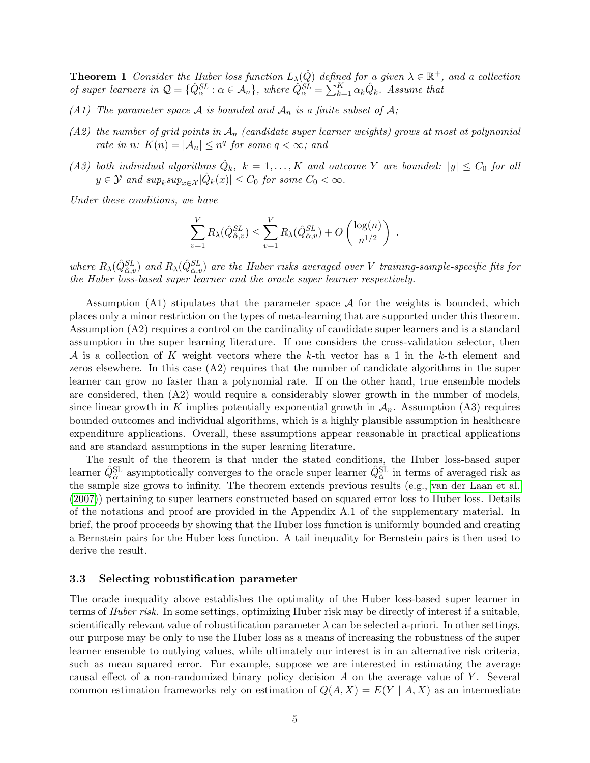**Theorem 1** Consider the Huber loss function  $L_{\lambda}(\hat{Q})$  defined for a given  $\lambda \in \mathbb{R}^+$ , and a collection of super learners in  $Q = \{ \hat{Q}_{\alpha}^{SL} : \alpha \in A_n \}$ , where  $\hat{Q}_{\alpha}^{SL} = \sum_{k=1}^{K} \alpha_k \hat{Q}_k$ . Assume that

- (A1) The parameter space A is bounded and  $A_n$  is a finite subset of A;
- (A2) the number of grid points in  $A_n$  (candidate super learner weights) grows at most at polynomial rate in n:  $K(n) = |\mathcal{A}_n| \leq n^q$  for some  $q < \infty$ ; and
- (A3) both individual algorithms  $\hat{Q}_k$ ,  $k = 1, ..., K$  and outcome Y are bounded:  $|y| \leq C_0$  for all  $y \in \mathcal{Y}$  and  $sup_k sup_{x \in \mathcal{X}} |\hat{Q}_k(x)| \leq C_0$  for some  $C_0 < \infty$ .

Under these conditions, we have

$$
\sum_{v=1}^{V} R_{\lambda}(\hat{Q}_{\hat{\alpha},v}^{SL}) \leq \sum_{v=1}^{V} R_{\lambda}(\hat{Q}_{\tilde{\alpha},v}^{SL}) + O\left(\frac{\log(n)}{n^{1/2}}\right) .
$$

where  $R_\lambda(\hat{Q}^{SL}_{\hat{\alpha},v})$  and  $R_\lambda(\hat{Q}^{SL}_{\tilde{\alpha},v})$  are the Huber risks averaged over V training-sample-specific fits for the Huber loss-based super learner and the oracle super learner respectively.

Assumption (A1) stipulates that the parameter space  $A$  for the weights is bounded, which places only a minor restriction on the types of meta-learning that are supported under this theorem. Assumption (A2) requires a control on the cardinality of candidate super learners and is a standard assumption in the super learning literature. If one considers the cross-validation selector, then A is a collection of K weight vectors where the k-th vector has a 1 in the k-th element and zeros elsewhere. In this case  $(A2)$  requires that the number of candidate algorithms in the super learner can grow no faster than a polynomial rate. If on the other hand, true ensemble models are considered, then (A2) would require a considerably slower growth in the number of models, since linear growth in K implies potentially exponential growth in  $A_n$ . Assumption (A3) requires bounded outcomes and individual algorithms, which is a highly plausible assumption in healthcare expenditure applications. Overall, these assumptions appear reasonable in practical applications and are standard assumptions in the super learning literature.

The result of the theorem is that under the stated conditions, the Huber loss-based super learner  $\hat{Q}^{\text{SL}}_{\hat{\alpha}}$  asymptotically converges to the oracle super learner  $\hat{Q}^{\text{SL}}_{\tilde{\alpha}}$  in terms of averaged risk as the sample size grows to infinity. The theorem extends previous results (e.g., [van der Laan et al.](#page-12-6) [\(2007\)](#page-12-6)) pertaining to super learners constructed based on squared error loss to Huber loss. Details of the notations and proof are provided in the Appendix A.1 of the supplementary material. In brief, the proof proceeds by showing that the Huber loss function is uniformly bounded and creating a Bernstein pairs for the Huber loss function. A tail inequality for Bernstein pairs is then used to derive the result.

#### 3.3 Selecting robustification parameter

The oracle inequality above establishes the optimality of the Huber loss-based super learner in terms of Huber risk. In some settings, optimizing Huber risk may be directly of interest if a suitable, scientifically relevant value of robustification parameter  $\lambda$  can be selected a-priori. In other settings, our purpose may be only to use the Huber loss as a means of increasing the robustness of the super learner ensemble to outlying values, while ultimately our interest is in an alternative risk criteria, such as mean squared error. For example, suppose we are interested in estimating the average causal effect of a non-randomized binary policy decision  $A$  on the average value of  $Y$ . Several common estimation frameworks rely on estimation of  $Q(A, X) = E(Y | A, X)$  as an intermediate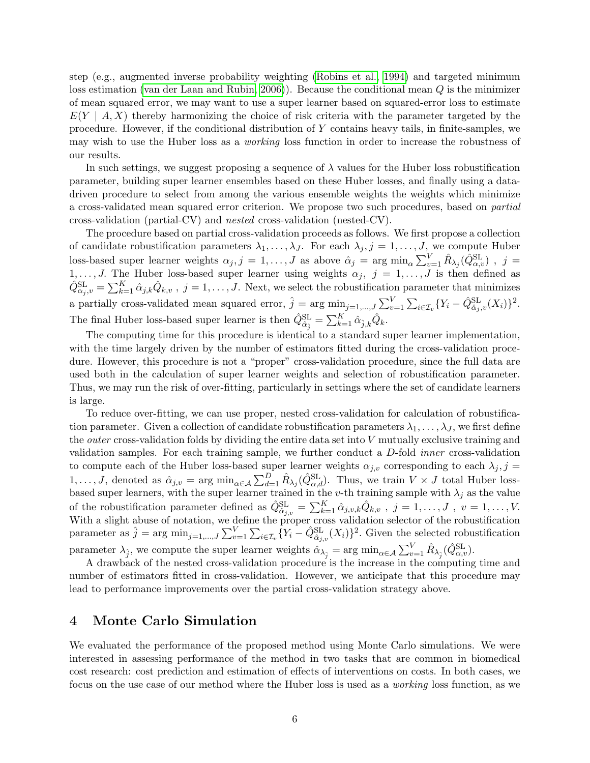step (e.g., augmented inverse probability weighting [\(Robins et al., 1994\)](#page-11-11) and targeted minimum loss estimation [\(van der Laan and Rubin, 2006\)](#page-12-11)). Because the conditional mean  $Q$  is the minimizer of mean squared error, we may want to use a super learner based on squared-error loss to estimate  $E(Y \mid A, X)$  thereby harmonizing the choice of risk criteria with the parameter targeted by the procedure. However, if the conditional distribution of Y contains heavy tails, in finite-samples, we may wish to use the Huber loss as a working loss function in order to increase the robustness of our results.

In such settings, we suggest proposing a sequence of  $\lambda$  values for the Huber loss robustification parameter, building super learner ensembles based on these Huber losses, and finally using a datadriven procedure to select from among the various ensemble weights the weights which minimize a cross-validated mean squared error criterion. We propose two such procedures, based on partial cross-validation (partial-CV) and nested cross-validation (nested-CV).

The procedure based on partial cross-validation proceeds as follows. We first propose a collection of candidate robustification parameters  $\lambda_1, \ldots, \lambda_J$ . For each  $\lambda_j, j = 1, \ldots, J$ , we compute Huber loss-based super learner weights  $\alpha_j$ ,  $j = 1, ..., J$  as above  $\hat{\alpha}_j = \arg \min_{\alpha} \sum_{v=1}^V \hat{R}_{\lambda_j}(\hat{Q}_{\alpha,v}^{\text{SL}})$ ,  $j =$ 1, ..., J. The Huber loss-based super learner using weights  $\alpha_j$ ,  $j = 1, \ldots, J$  is then defined as  $\hat{Q}^{\text{SL}}_{\alpha_j, v} = \sum_{k=1}^K \hat{\alpha}_{j,k} \hat{Q}_{k,v}$ ,  $j = 1, \ldots, J$ . Next, we select the robustification parameter that minimizes a partially cross-validated mean squared error,  $\hat{j} = \arg \min_{j=1,\dots,J} \sum_{v=1}^{V} \sum_{i \in \mathcal{I}_v} \{Y_i - \hat{Q}_{\hat{\alpha}_j,v}^{\text{SL}}(X_i)\}^2$ . The final Huber loss-based super learner is then  $\hat{Q}^{\text{SL}}_{\hat{\alpha}_{\hat{j}}} = \sum_{k=1}^{K} \hat{\alpha}_{\hat{j},k} \hat{Q}_k$ .

The computing time for this procedure is identical to a standard super learner implementation, with the time largely driven by the number of estimators fitted during the cross-validation procedure. However, this procedure is not a "proper" cross-validation procedure, since the full data are used both in the calculation of super learner weights and selection of robustification parameter. Thus, we may run the risk of over-fitting, particularly in settings where the set of candidate learners is large.

To reduce over-fitting, we can use proper, nested cross-validation for calculation of robustification parameter. Given a collection of candidate robustification parameters  $\lambda_1, \ldots, \lambda_J$ , we first define the *outer* cross-validation folds by dividing the entire data set into  $V$  mutually exclusive training and validation samples. For each training sample, we further conduct a D-fold inner cross-validation to compute each of the Huber loss-based super learner weights  $\alpha_{j,v}$  corresponding to each  $\lambda_j$ , j = 1,..., J, denoted as  $\hat{\alpha}_{j,v} = \arg \min_{\alpha \in A} \sum_{d=1}^{D} \hat{R}_{\lambda_j}(\hat{Q}_{\alpha,d}^{\text{SL}})$ . Thus, we train  $V \times J$  total Huber lossbased super learners, with the super learner trained in the v-th training sample with  $\lambda_j$  as the value of the robustification parameter defined as  $\hat{Q}_{\hat{\alpha}_{j,v}}^{\text{SL}} = \sum_{k=1}^{K} \hat{\alpha}_{j,v,k} \hat{Q}_{k,v}$ ,  $j = 1, \ldots, J$ ,  $v = 1, \ldots, V$ . With a slight abuse of notation, we define the proper cross validation selector of the robustification parameter as  $\hat{j} = \arg \min_{j=1,\dots,J} \sum_{v=1}^{V} \sum_{i \in \mathcal{I}_v} \{Y_i - \hat{Q}_{\hat{\alpha}_{j,v}}^{\text{SL}}(X_i)\}^2$ . Given the selected robustification parameter  $\lambda_{\hat{j}}$ , we compute the super learner weights  $\hat{\alpha}_{\lambda_{\hat{j}}} = \arg \min_{\alpha \in \mathcal{A}} \sum_{v=1}^{V} \hat{R}_{\lambda_{\hat{j}}}(\hat{Q}_{\alpha,v}^{\text{SL}})$ .

A drawback of the nested cross-validation procedure is the increase in the computing time and number of estimators fitted in cross-validation. However, we anticipate that this procedure may lead to performance improvements over the partial cross-validation strategy above.

## 4 Monte Carlo Simulation

We evaluated the performance of the proposed method using Monte Carlo simulations. We were interested in assessing performance of the method in two tasks that are common in biomedical cost research: cost prediction and estimation of effects of interventions on costs. In both cases, we focus on the use case of our method where the Huber loss is used as a working loss function, as we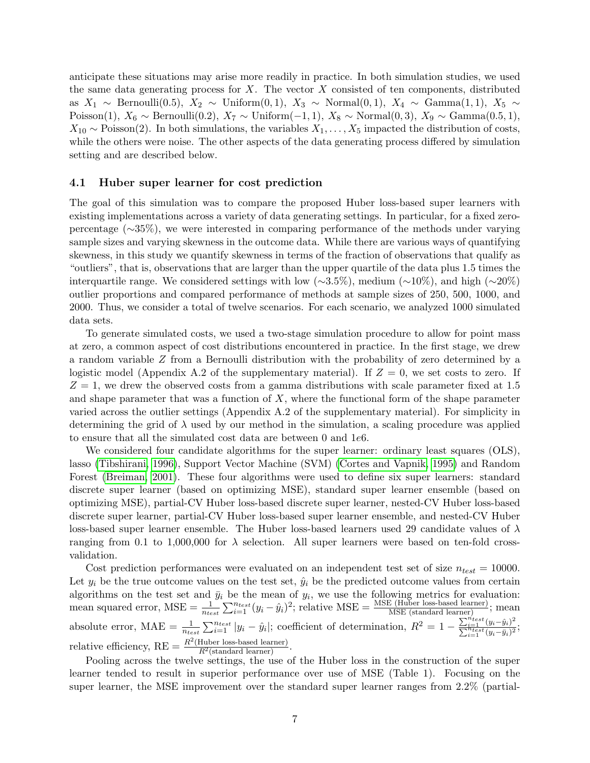anticipate these situations may arise more readily in practice. In both simulation studies, we used the same data generating process for  $X$ . The vector  $X$  consisted of ten components, distributed as  $X_1 \sim \text{Bernoulli}(0.5)$ ,  $X_2 \sim \text{Uniform}(0, 1)$ ,  $X_3 \sim \text{Normal}(0, 1)$ ,  $X_4 \sim \text{Gamma}(1, 1)$ ,  $X_5 \sim$ Poisson(1),  $X_6 \sim \text{Bernoulli}(0.2)$ ,  $X_7 \sim \text{Uniform}(-1, 1)$ ,  $X_8 \sim \text{Normal}(0, 3)$ ,  $X_9 \sim \text{Gamma}(0.5, 1)$ ,  $X_{10} \sim \text{Poisson}(2)$ . In both simulations, the variables  $X_1, \ldots, X_5$  impacted the distribution of costs, while the others were noise. The other aspects of the data generating process differed by simulation setting and are described below.

#### 4.1 Huber super learner for cost prediction

The goal of this simulation was to compare the proposed Huber loss-based super learners with existing implementations across a variety of data generating settings. In particular, for a fixed zeropercentage (∼35%), we were interested in comparing performance of the methods under varying sample sizes and varying skewness in the outcome data. While there are various ways of quantifying skewness, in this study we quantify skewness in terms of the fraction of observations that qualify as "outliers", that is, observations that are larger than the upper quartile of the data plus 1.5 times the interquartile range. We considered settings with low (∼3.5%), medium (∼10%), and high (∼20%) outlier proportions and compared performance of methods at sample sizes of 250, 500, 1000, and 2000. Thus, we consider a total of twelve scenarios. For each scenario, we analyzed 1000 simulated data sets.

To generate simulated costs, we used a two-stage simulation procedure to allow for point mass at zero, a common aspect of cost distributions encountered in practice. In the first stage, we drew a random variable Z from a Bernoulli distribution with the probability of zero determined by a logistic model (Appendix A.2 of the supplementary material). If  $Z = 0$ , we set costs to zero. If  $Z = 1$ , we drew the observed costs from a gamma distributions with scale parameter fixed at 1.5 and shape parameter that was a function of  $X$ , where the functional form of the shape parameter varied across the outlier settings (Appendix A.2 of the supplementary material). For simplicity in determining the grid of  $\lambda$  used by our method in the simulation, a scaling procedure was applied to ensure that all the simulated cost data are between 0 and 1e6.

We considered four candidate algorithms for the super learner: ordinary least squares (OLS), lasso [\(Tibshirani, 1996\)](#page-12-12), Support Vector Machine (SVM) [\(Cortes and Vapnik, 1995\)](#page-11-12) and Random Forest [\(Breiman, 2001\)](#page-10-6). These four algorithms were used to define six super learners: standard discrete super learner (based on optimizing MSE), standard super learner ensemble (based on optimizing MSE), partial-CV Huber loss-based discrete super learner, nested-CV Huber loss-based discrete super learner, partial-CV Huber loss-based super learner ensemble, and nested-CV Huber loss-based super learner ensemble. The Huber loss-based learners used 29 candidate values of  $\lambda$ ranging from 0.1 to 1,000,000 for  $\lambda$  selection. All super learners were based on ten-fold crossvalidation.

Cost prediction performances were evaluated on an independent test set of size  $n_{test} = 10000$ . Let  $y_i$  be the true outcome values on the test set,  $\hat{y}_i$  be the predicted outcome values from certain algorithms on the test set and  $\bar{y}_i$  be the mean of  $y_i$ , we use the following metrics for evaluation: mean squared error,  $MSE = \frac{1}{n_{test}} \sum_{i=1}^{n_{test}} (y_i - \hat{y}_i)^2$ ; relative  $MSE = \frac{MSE \text{ (Huber loss-based learner)}}{MSE \text{ (standard learner)}}$ ; mean absolute error, MAE =  $\frac{1}{n_{test}} \sum_{i=1}^{n_{test}} |y_i - \hat{y}_i|$ ; coefficient of determination,  $R^2 = 1 - \frac{\sum_{i=1}^{n_{test}} (y_i - \hat{y}_i)^2}{\sum_{i=1}^{n_{test}} (y_i - \bar{y}_i)^2}$  $\frac{\sum_{i=1} (y_i - y_i)}{\sum_{i=1}^{n_{test}} (y_i - \bar{y}_i)^2};$ relative efficiency,  $RE = \frac{R^2(\text{Huber loss-based learner})}{R^2(\text{standard learner})}$ .

Pooling across the twelve settings, the use of the Huber loss in the construction of the super learner tended to result in superior performance over use of MSE (Table 1). Focusing on the super learner, the MSE improvement over the standard super learner ranges from 2.2% (partial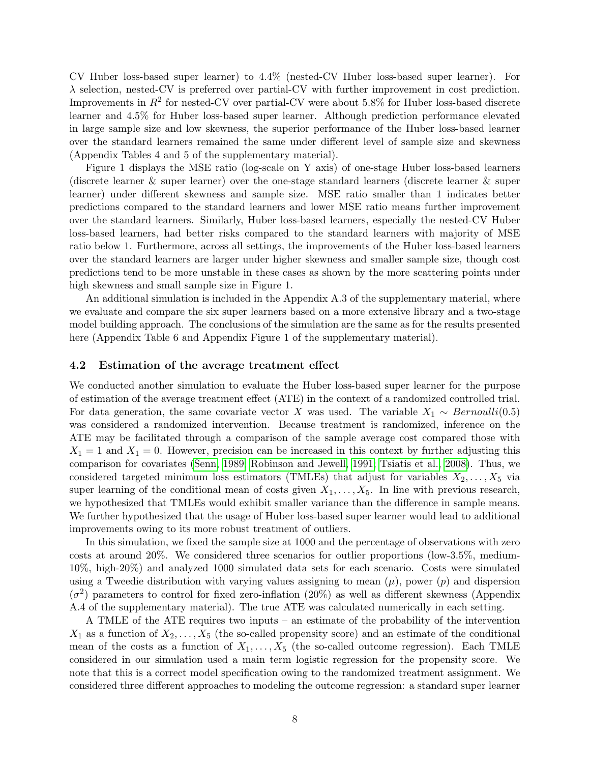CV Huber loss-based super learner) to 4.4% (nested-CV Huber loss-based super learner). For λ selection, nested-CV is preferred over partial-CV with further improvement in cost prediction. Improvements in  $R^2$  for nested-CV over partial-CV were about 5.8% for Huber loss-based discrete learner and 4.5% for Huber loss-based super learner. Although prediction performance elevated in large sample size and low skewness, the superior performance of the Huber loss-based learner over the standard learners remained the same under different level of sample size and skewness (Appendix Tables 4 and 5 of the supplementary material).

Figure 1 displays the MSE ratio (log-scale on Y axis) of one-stage Huber loss-based learners (discrete learner & super learner) over the one-stage standard learners (discrete learner & super learner) under different skewness and sample size. MSE ratio smaller than 1 indicates better predictions compared to the standard learners and lower MSE ratio means further improvement over the standard learners. Similarly, Huber loss-based learners, especially the nested-CV Huber loss-based learners, had better risks compared to the standard learners with majority of MSE ratio below 1. Furthermore, across all settings, the improvements of the Huber loss-based learners over the standard learners are larger under higher skewness and smaller sample size, though cost predictions tend to be more unstable in these cases as shown by the more scattering points under high skewness and small sample size in Figure 1.

An additional simulation is included in the Appendix A.3 of the supplementary material, where we evaluate and compare the six super learners based on a more extensive library and a two-stage model building approach. The conclusions of the simulation are the same as for the results presented here (Appendix Table 6 and Appendix Figure 1 of the supplementary material).

#### 4.2 Estimation of the average treatment effect

We conducted another simulation to evaluate the Huber loss-based super learner for the purpose of estimation of the average treatment effect (ATE) in the context of a randomized controlled trial. For data generation, the same covariate vector X was used. The variable  $X_1 \sim Bernoulli(0.5)$ was considered a randomized intervention. Because treatment is randomized, inference on the ATE may be facilitated through a comparison of the sample average cost compared those with  $X_1 = 1$  and  $X_1 = 0$ . However, precision can be increased in this context by further adjusting this comparison for covariates [\(Senn, 1989;](#page-12-13) [Robinson and Jewell, 1991;](#page-11-13) [Tsiatis et al., 2008\)](#page-12-14). Thus, we considered targeted minimum loss estimators (TMLEs) that adjust for variables  $X_2, \ldots, X_5$  via super learning of the conditional mean of costs given  $X_1, \ldots, X_5$ . In line with previous research, we hypothesized that TMLEs would exhibit smaller variance than the difference in sample means. We further hypothesized that the usage of Huber loss-based super learner would lead to additional improvements owing to its more robust treatment of outliers.

In this simulation, we fixed the sample size at 1000 and the percentage of observations with zero costs at around 20%. We considered three scenarios for outlier proportions (low-3.5%, medium-10%, high-20%) and analyzed 1000 simulated data sets for each scenario. Costs were simulated using a Tweedie distribution with varying values assigning to mean  $(\mu)$ , power  $(p)$  and dispersion  $(\sigma^2)$  parameters to control for fixed zero-inflation (20%) as well as different skewness (Appendix A.4 of the supplementary material). The true ATE was calculated numerically in each setting.

A TMLE of the ATE requires two inputs – an estimate of the probability of the intervention  $X_1$  as a function of  $X_2, \ldots, X_5$  (the so-called propensity score) and an estimate of the conditional mean of the costs as a function of  $X_1, \ldots, X_5$  (the so-called outcome regression). Each TMLE considered in our simulation used a main term logistic regression for the propensity score. We note that this is a correct model specification owing to the randomized treatment assignment. We considered three different approaches to modeling the outcome regression: a standard super learner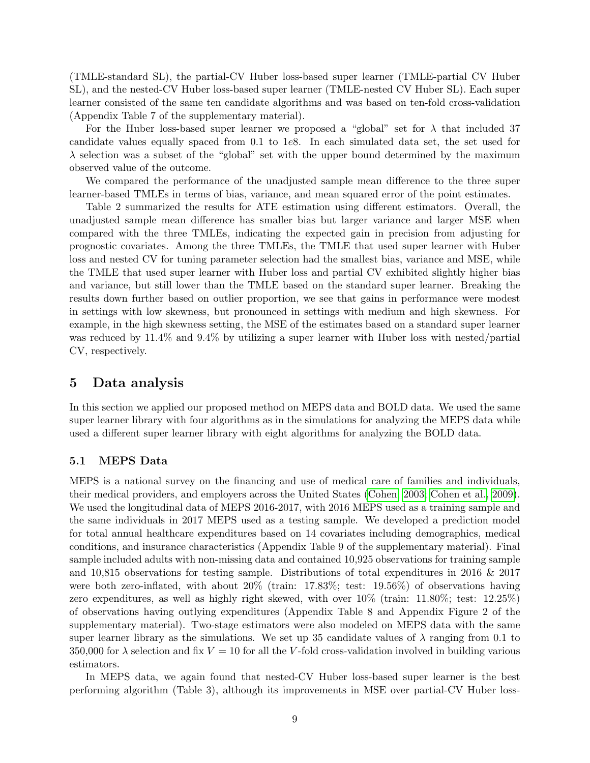(TMLE-standard SL), the partial-CV Huber loss-based super learner (TMLE-partial CV Huber SL), and the nested-CV Huber loss-based super learner (TMLE-nested CV Huber SL). Each super learner consisted of the same ten candidate algorithms and was based on ten-fold cross-validation (Appendix Table 7 of the supplementary material).

For the Huber loss-based super learner we proposed a "global" set for  $\lambda$  that included 37 candidate values equally spaced from 0.1 to 1e8. In each simulated data set, the set used for  $\lambda$  selection was a subset of the "global" set with the upper bound determined by the maximum observed value of the outcome.

We compared the performance of the unadjusted sample mean difference to the three super learner-based TMLEs in terms of bias, variance, and mean squared error of the point estimates.

Table 2 summarized the results for ATE estimation using different estimators. Overall, the unadjusted sample mean difference has smaller bias but larger variance and larger MSE when compared with the three TMLEs, indicating the expected gain in precision from adjusting for prognostic covariates. Among the three TMLEs, the TMLE that used super learner with Huber loss and nested CV for tuning parameter selection had the smallest bias, variance and MSE, while the TMLE that used super learner with Huber loss and partial CV exhibited slightly higher bias and variance, but still lower than the TMLE based on the standard super learner. Breaking the results down further based on outlier proportion, we see that gains in performance were modest in settings with low skewness, but pronounced in settings with medium and high skewness. For example, in the high skewness setting, the MSE of the estimates based on a standard super learner was reduced by 11.4% and 9.4% by utilizing a super learner with Huber loss with nested/partial CV, respectively.

## 5 Data analysis

In this section we applied our proposed method on MEPS data and BOLD data. We used the same super learner library with four algorithms as in the simulations for analyzing the MEPS data while used a different super learner library with eight algorithms for analyzing the BOLD data.

### 5.1 MEPS Data

MEPS is a national survey on the financing and use of medical care of families and individuals, their medical providers, and employers across the United States [\(Cohen, 2003;](#page-10-2) [Cohen et al., 2009\)](#page-10-3). We used the longitudinal data of MEPS 2016-2017, with 2016 MEPS used as a training sample and the same individuals in 2017 MEPS used as a testing sample. We developed a prediction model for total annual healthcare expenditures based on 14 covariates including demographics, medical conditions, and insurance characteristics (Appendix Table 9 of the supplementary material). Final sample included adults with non-missing data and contained 10,925 observations for training sample and 10,815 observations for testing sample. Distributions of total expenditures in 2016 & 2017 were both zero-inflated, with about 20% (train: 17.83%; test: 19.56%) of observations having zero expenditures, as well as highly right skewed, with over 10% (train: 11.80%; test: 12.25%) of observations having outlying expenditures (Appendix Table 8 and Appendix Figure 2 of the supplementary material). Two-stage estimators were also modeled on MEPS data with the same super learner library as the simulations. We set up 35 candidate values of  $\lambda$  ranging from 0.1 to 350,000 for  $\lambda$  selection and fix  $V = 10$  for all the V-fold cross-validation involved in building various estimators.

In MEPS data, we again found that nested-CV Huber loss-based super learner is the best performing algorithm (Table 3), although its improvements in MSE over partial-CV Huber loss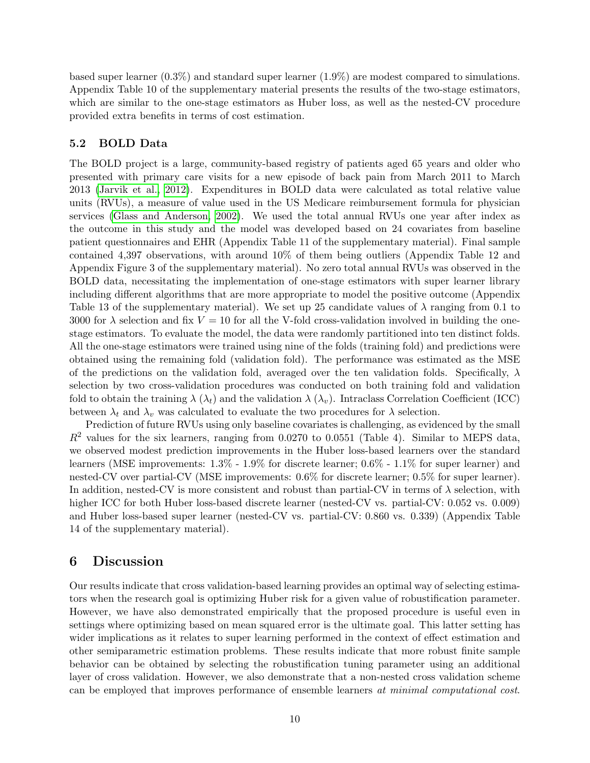based super learner (0.3%) and standard super learner (1.9%) are modest compared to simulations. Appendix Table 10 of the supplementary material presents the results of the two-stage estimators, which are similar to the one-stage estimators as Huber loss, as well as the nested-CV procedure provided extra benefits in terms of cost estimation.

### 5.2 BOLD Data

The BOLD project is a large, community-based registry of patients aged 65 years and older who presented with primary care visits for a new episode of back pain from March 2011 to March 2013 [\(Jarvik et al., 2012\)](#page-11-10). Expenditures in BOLD data were calculated as total relative value units (RVUs), a measure of value used in the US Medicare reimbursement formula for physician services [\(Glass and Anderson, 2002\)](#page-11-14). We used the total annual RVUs one year after index as the outcome in this study and the model was developed based on 24 covariates from baseline patient questionnaires and EHR (Appendix Table 11 of the supplementary material). Final sample contained 4,397 observations, with around 10% of them being outliers (Appendix Table 12 and Appendix Figure 3 of the supplementary material). No zero total annual RVUs was observed in the BOLD data, necessitating the implementation of one-stage estimators with super learner library including different algorithms that are more appropriate to model the positive outcome (Appendix Table 13 of the supplementary material). We set up 25 candidate values of  $\lambda$  ranging from 0.1 to 3000 for  $\lambda$  selection and fix  $V = 10$  for all the V-fold cross-validation involved in building the onestage estimators. To evaluate the model, the data were randomly partitioned into ten distinct folds. All the one-stage estimators were trained using nine of the folds (training fold) and predictions were obtained using the remaining fold (validation fold). The performance was estimated as the MSE of the predictions on the validation fold, averaged over the ten validation folds. Specifically,  $\lambda$ selection by two cross-validation procedures was conducted on both training fold and validation fold to obtain the training  $\lambda(\lambda_t)$  and the validation  $\lambda(\lambda_v)$ . Intraclass Correlation Coefficient (ICC) between  $\lambda_t$  and  $\lambda_v$  was calculated to evaluate the two procedures for  $\lambda$  selection.

Prediction of future RVUs using only baseline covariates is challenging, as evidenced by the small  $R^2$  values for the six learners, ranging from 0.0270 to 0.0551 (Table 4). Similar to MEPS data, we observed modest prediction improvements in the Huber loss-based learners over the standard learners (MSE improvements: 1.3% - 1.9% for discrete learner; 0.6% - 1.1% for super learner) and nested-CV over partial-CV (MSE improvements: 0.6% for discrete learner; 0.5% for super learner). In addition, nested-CV is more consistent and robust than partial-CV in terms of  $\lambda$  selection, with higher ICC for both Huber loss-based discrete learner (nested-CV vs. partial-CV: 0.052 vs. 0.009) and Huber loss-based super learner (nested-CV vs. partial-CV: 0.860 vs. 0.339) (Appendix Table 14 of the supplementary material).

## 6 Discussion

Our results indicate that cross validation-based learning provides an optimal way of selecting estimators when the research goal is optimizing Huber risk for a given value of robustification parameter. However, we have also demonstrated empirically that the proposed procedure is useful even in settings where optimizing based on mean squared error is the ultimate goal. This latter setting has wider implications as it relates to super learning performed in the context of effect estimation and other semiparametric estimation problems. These results indicate that more robust finite sample behavior can be obtained by selecting the robustification tuning parameter using an additional layer of cross validation. However, we also demonstrate that a non-nested cross validation scheme can be employed that improves performance of ensemble learners at minimal computational cost.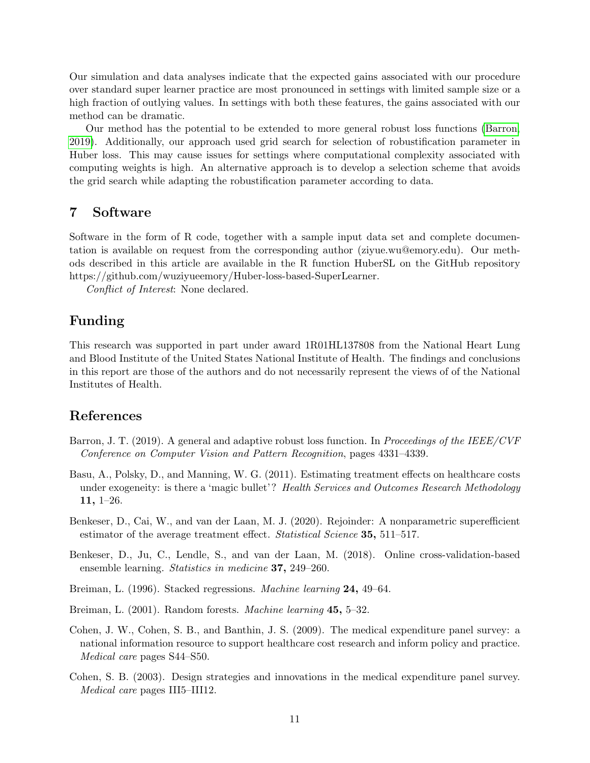Our simulation and data analyses indicate that the expected gains associated with our procedure over standard super learner practice are most pronounced in settings with limited sample size or a high fraction of outlying values. In settings with both these features, the gains associated with our method can be dramatic.

Our method has the potential to be extended to more general robust loss functions [\(Barron,](#page-10-7) [2019\)](#page-10-7). Additionally, our approach used grid search for selection of robustification parameter in Huber loss. This may cause issues for settings where computational complexity associated with computing weights is high. An alternative approach is to develop a selection scheme that avoids the grid search while adapting the robustification parameter according to data.

## 7 Software

Software in the form of R code, together with a sample input data set and complete documentation is available on request from the corresponding author (ziyue.wu@emory.edu). Our methods described in this article are available in the R function HuberSL on the GitHub repository https://github.com/wuziyueemory/Huber-loss-based-SuperLearner.

Conflict of Interest: None declared.

## Funding

This research was supported in part under award 1R01HL137808 from the National Heart Lung and Blood Institute of the United States National Institute of Health. The findings and conclusions in this report are those of the authors and do not necessarily represent the views of of the National Institutes of Health.

## References

- <span id="page-10-7"></span>Barron, J. T. (2019). A general and adaptive robust loss function. In Proceedings of the IEEE/CVF Conference on Computer Vision and Pattern Recognition, pages 4331–4339.
- <span id="page-10-0"></span>Basu, A., Polsky, D., and Manning, W. G. (2011). Estimating treatment effects on healthcare costs under exogeneity: is there a 'magic bullet'? Health Services and Outcomes Research Methodology 11, 1–26.
- <span id="page-10-5"></span>Benkeser, D., Cai, W., and van der Laan, M. J. (2020). Rejoinder: A nonparametric superefficient estimator of the average treatment effect. Statistical Science 35, 511–517.
- <span id="page-10-4"></span>Benkeser, D., Ju, C., Lendle, S., and van der Laan, M. (2018). Online cross-validation-based ensemble learning. Statistics in medicine 37, 249–260.
- <span id="page-10-1"></span>Breiman, L. (1996). Stacked regressions. Machine learning 24, 49–64.
- <span id="page-10-6"></span>Breiman, L. (2001). Random forests. Machine learning 45, 5–32.
- <span id="page-10-3"></span>Cohen, J. W., Cohen, S. B., and Banthin, J. S. (2009). The medical expenditure panel survey: a national information resource to support healthcare cost research and inform policy and practice. Medical care pages S44–S50.
- <span id="page-10-2"></span>Cohen, S. B. (2003). Design strategies and innovations in the medical expenditure panel survey. Medical care pages III5–III12.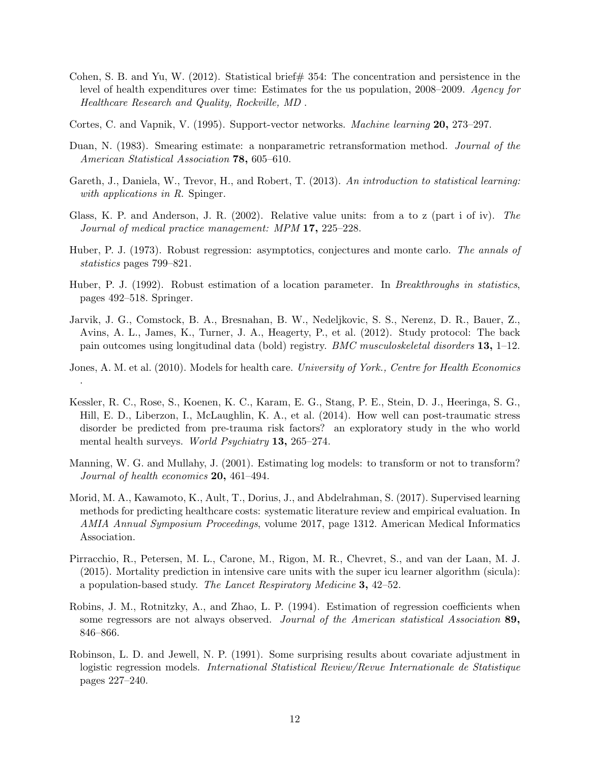- <span id="page-11-0"></span>Cohen, S. B. and Yu, W. (2012). Statistical brief  $\#$  354: The concentration and persistence in the level of health expenditures over time: Estimates for the us population, 2008–2009. Agency for Healthcare Research and Quality, Rockville, MD .
- <span id="page-11-12"></span>Cortes, C. and Vapnik, V. (1995). Support-vector networks. Machine learning 20, 273–297.
- <span id="page-11-2"></span>Duan, N. (1983). Smearing estimate: a nonparametric retransformation method. Journal of the American Statistical Association **78**, 605–610.
- <span id="page-11-6"></span>Gareth, J., Daniela, W., Trevor, H., and Robert, T. (2013). An introduction to statistical learning: with applications in R. Spinger.
- <span id="page-11-14"></span>Glass, K. P. and Anderson, J. R. (2002). Relative value units: from a to z (part i of iv). The Journal of medical practice management: MPM 17, 225–228.
- <span id="page-11-4"></span>Huber, P. J. (1973). Robust regression: asymptotics, conjectures and monte carlo. The annals of statistics pages 799–821.
- <span id="page-11-5"></span>Huber, P. J. (1992). Robust estimation of a location parameter. In *Breakthroughs in statistics*, pages 492–518. Springer.
- <span id="page-11-10"></span>Jarvik, J. G., Comstock, B. A., Bresnahan, B. W., Nedeljkovic, S. S., Nerenz, D. R., Bauer, Z., Avins, A. L., James, K., Turner, J. A., Heagerty, P., et al. (2012). Study protocol: The back pain outcomes using longitudinal data (bold) registry. BMC musculoskeletal disorders 13, 1–12.
- <span id="page-11-1"></span>Jones, A. M. et al. (2010). Models for health care. University of York., Centre for Health Economics .
- <span id="page-11-8"></span>Kessler, R. C., Rose, S., Koenen, K. C., Karam, E. G., Stang, P. E., Stein, D. J., Heeringa, S. G., Hill, E. D., Liberzon, I., McLaughlin, K. A., et al. (2014). How well can post-traumatic stress disorder be predicted from pre-trauma risk factors? an exploratory study in the who world mental health surveys. *World Psychiatry* 13, 265–274.
- <span id="page-11-3"></span>Manning, W. G. and Mullahy, J. (2001). Estimating log models: to transform or not to transform? Journal of health economics **20**, 461–494.
- <span id="page-11-7"></span>Morid, M. A., Kawamoto, K., Ault, T., Dorius, J., and Abdelrahman, S. (2017). Supervised learning methods for predicting healthcare costs: systematic literature review and empirical evaluation. In AMIA Annual Symposium Proceedings, volume 2017, page 1312. American Medical Informatics Association.
- <span id="page-11-9"></span>Pirracchio, R., Petersen, M. L., Carone, M., Rigon, M. R., Chevret, S., and van der Laan, M. J. (2015). Mortality prediction in intensive care units with the super icu learner algorithm (sicula): a population-based study. The Lancet Respiratory Medicine 3, 42–52.
- <span id="page-11-11"></span>Robins, J. M., Rotnitzky, A., and Zhao, L. P. (1994). Estimation of regression coefficients when some regressors are not always observed. Journal of the American statistical Association 89, 846–866.
- <span id="page-11-13"></span>Robinson, L. D. and Jewell, N. P. (1991). Some surprising results about covariate adjustment in logistic regression models. International Statistical Review/Revue Internationale de Statistique pages 227–240.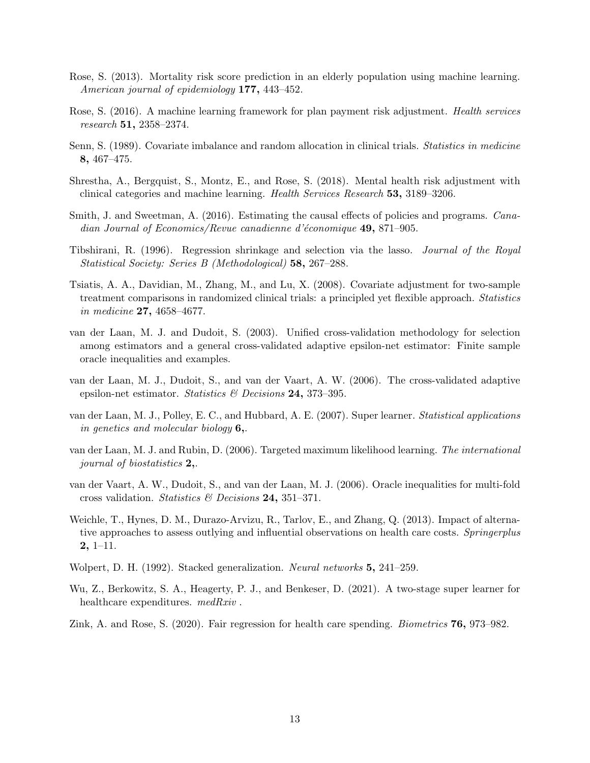- <span id="page-12-7"></span>Rose, S. (2013). Mortality risk score prediction in an elderly population using machine learning. American journal of epidemiology 177, 443-452.
- <span id="page-12-2"></span>Rose, S. (2016). A machine learning framework for plan payment risk adjustment. Health services research 51, 2358–2374.
- <span id="page-12-13"></span>Senn, S. (1989). Covariate imbalance and random allocation in clinical trials. Statistics in medicine 8, 467–475.
- <span id="page-12-3"></span>Shrestha, A., Bergquist, S., Montz, E., and Rose, S. (2018). Mental health risk adjustment with clinical categories and machine learning. Health Services Research 53, 3189–3206.
- <span id="page-12-0"></span>Smith, J. and Sweetman, A. (2016). Estimating the causal effects of policies and programs. *Cana*dian Journal of Economics/Revue canadienne d'économique  $49,871-905$ .
- <span id="page-12-12"></span>Tibshirani, R. (1996). Regression shrinkage and selection via the lasso. Journal of the Royal Statistical Society: Series B (Methodological) 58, 267–288.
- <span id="page-12-14"></span>Tsiatis, A. A., Davidian, M., Zhang, M., and Lu, X. (2008). Covariate adjustment for two-sample treatment comparisons in randomized clinical trials: a principled yet flexible approach. Statistics in medicine 27, 4658–4677.
- <span id="page-12-9"></span>van der Laan, M. J. and Dudoit, S. (2003). Unified cross-validation methodology for selection among estimators and a general cross-validated adaptive epsilon-net estimator: Finite sample oracle inequalities and examples.
- <span id="page-12-10"></span>van der Laan, M. J., Dudoit, S., and van der Vaart, A. W. (2006). The cross-validated adaptive epsilon-net estimator. Statistics & Decisions 24, 373-395.
- <span id="page-12-6"></span>van der Laan, M. J., Polley, E. C., and Hubbard, A. E. (2007). Super learner. Statistical applications in genetics and molecular biology 6,.
- <span id="page-12-11"></span>van der Laan, M. J. and Rubin, D. (2006). Targeted maximum likelihood learning. The international journal of biostatistics 2,.
- <span id="page-12-15"></span>van der Vaart, A. W., Dudoit, S., and van der Laan, M. J. (2006). Oracle inequalities for multi-fold cross validation. Statistics  $\mathcal{C}$  Decisions 24, 351–371.
- <span id="page-12-1"></span>Weichle, T., Hynes, D. M., Durazo-Arvizu, R., Tarlov, E., and Zhang, Q. (2013). Impact of alternative approaches to assess outlying and influential observations on health care costs. Springerplus 2, 1–11.
- <span id="page-12-5"></span>Wolpert, D. H. (1992). Stacked generalization. Neural networks 5, 241–259.
- <span id="page-12-8"></span>Wu, Z., Berkowitz, S. A., Heagerty, P. J., and Benkeser, D. (2021). A two-stage super learner for healthcare expenditures. medRxiv.
- <span id="page-12-4"></span>Zink, A. and Rose, S. (2020). Fair regression for health care spending. Biometrics 76, 973–982.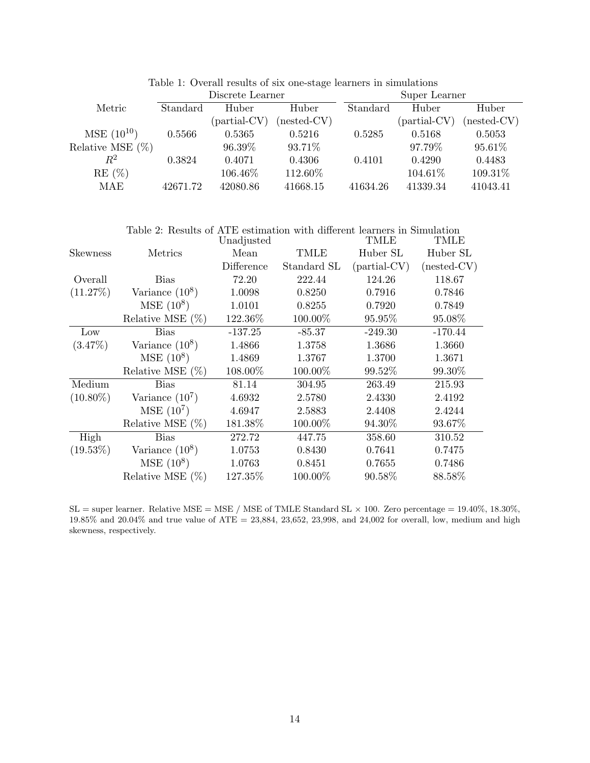|                     | Discrete Learner |                      |               | Super Learner |                      |               |
|---------------------|------------------|----------------------|---------------|---------------|----------------------|---------------|
| Metric              | Standard         | Huber                | Huber         | Standard      | Huber                | Huber         |
|                     |                  | ${\rm (partial-CV)}$ | $(nested-CV)$ |               | ${\rm (partial-CV)}$ | $(nested-CV)$ |
| $MSE(10^{10})$      | 0.5566           | 0.5365               | 0.5216        | 0.5285        | 0.5168               | 0.5053        |
| Relative MSE $(\%)$ |                  | 96.39%               | 93.71\%       |               | 97.79%               | 95.61\%       |
| $\,R^2$             | 0.3824           | 0.4071               | 0.4306        | 0.4101        | 0.4290               | 0.4483        |
| RE(%)               |                  | 106.46\%             | 112.60%       |               | 104.61\%             | 109.31\%      |
| MAE                 | 42671.72         | 42080.86             | 41668.15      | 41634.26      | 41339.34             | 41043.41      |

Table 1: Overall results of six one-stage learners in simulations

|                 | Table 2: Results of ATE estimation with different learners in Simulation |            |             |                |               |
|-----------------|--------------------------------------------------------------------------|------------|-------------|----------------|---------------|
|                 |                                                                          | Unadjusted |             | TMLE           | TMLE          |
| <b>Skewness</b> | Metrics                                                                  | Mean       | <b>TMLE</b> | Huber SL       | Huber SL      |
|                 |                                                                          | Difference | Standard SL | $(partial-CV)$ | $(nested-CV)$ |
| Overall         | <b>Bias</b>                                                              | 72.20      | 222.44      | 124.26         | 118.67        |
| (11.27%)        | Variance $(10^8)$                                                        | 1.0098     | 0.8250      | 0.7916         | 0.7846        |
|                 | $MSE(10^8)$                                                              | 1.0101     | 0.8255      | 0.7920         | 0.7849        |
|                 | Relative MSE $(\%)$                                                      | 122.36%    | 100.00%     | 95.95\%        | 95.08%        |
| Low             | <b>Bias</b>                                                              | $-137.25$  | $-85.37$    | $-249.30$      | $-170.44$     |
| (3.47%)         | Variance $(10^8)$                                                        | 1.4866     | 1.3758      | 1.3686         | 1.3660        |
|                 | $MSE(10^8)$                                                              | 1.4869     | 1.3767      | 1.3700         | 1.3671        |
|                 | Relative MSE $(\%)$                                                      | 108.00%    | 100.00%     | 99.52%         | 99.30%        |
| Medium          | <b>Bias</b>                                                              | 81.14      | 304.95      | 263.49         | 215.93        |
| $(10.80\%)$     | Variance $(10^7)$                                                        | 4.6932     | 2.5780      | 2.4330         | 2.4192        |
|                 | $MSE(10^7)$                                                              | 4.6947     | 2.5883      | 2.4408         | 2.4244        |
|                 | Relative MSE $(\%)$                                                      | 181.38%    | 100.00%     | 94.30%         | 93.67%        |
| High            | <b>Bias</b>                                                              | 272.72     | 447.75      | 358.60         | 310.52        |
| $(19.53\%)$     | Variance $(10^8)$                                                        | 1.0753     | 0.8430      | 0.7641         | 0.7475        |
|                 | $MSE(10^8)$                                                              | 1.0763     | 0.8451      | 0.7655         | 0.7486        |
|                 | Relative MSE $(\%)$                                                      | 127.35%    | 100.00%     | 90.58%         | 88.58%        |

 $SL =$  super learner. Relative MSE = MSE / MSE of TMLE Standard SL  $\times$  100. Zero percentage = 19.40%, 18.30%, 19.85% and 20.04% and true value of ATE = 23,884, 23,652, 23,998, and 24,002 for overall, low, medium and high skewness, respectively.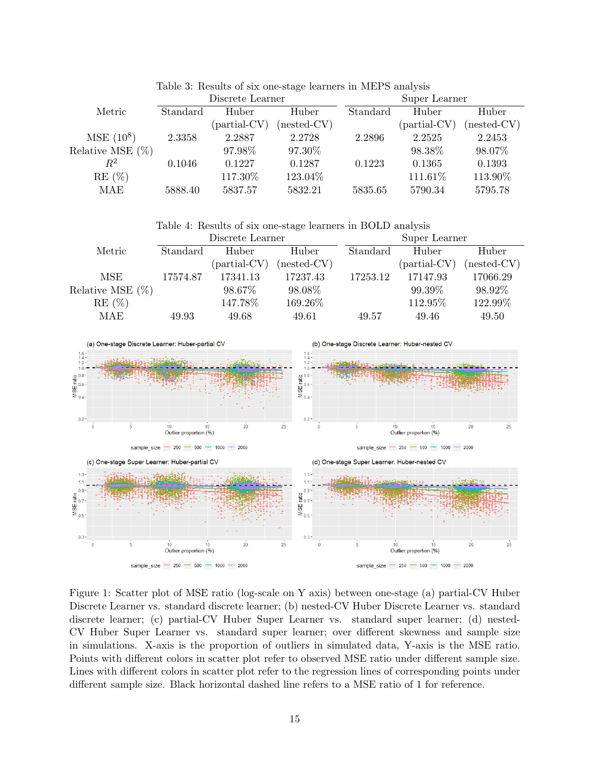| Standard | Huber                | Huber         | Standard         | Huber          | Huber         |
|----------|----------------------|---------------|------------------|----------------|---------------|
|          | ${\rm (partial-CV)}$ | $(nested-CV)$ |                  | $(partial-CV)$ | $(nested-CV)$ |
| 2.3358   | 2.2887               | 2.2728        | 2.2896           | 2.2525         | 2.2453        |
|          | 97.98%               | 97.30%        |                  | 98.38%         | 98.07%        |
| 0.1046   | 0.1227               | 0.1287        | 0.1223           | 0.1365         | 0.1393        |
|          | 117.30%              | 123.04%       |                  | 111.61%        | 113.90%       |
| 5888.40  | 5837.57              | 5832.21       | 5835.65          | 5790.34        | 5795.78       |
|          |                      |               | Discrete Learner |                | Super Learner |

Table 3: Results of six one-stage learners in MEPS analysis

Table 4: Results of six one-stage learners in BOLD analysis

|                     | Discrete Learner |                      |               |          | Super Learner        |               |  |
|---------------------|------------------|----------------------|---------------|----------|----------------------|---------------|--|
| Metric              | Standard         | Huber                | Huber         | Standard | Huber                | Huber         |  |
|                     |                  | ${\rm (partial-CV)}$ | $(nested-CV)$ |          | ${\rm (partial-CV)}$ | $(nested-CV)$ |  |
| MSE                 | 17574.87         | 17341.13             | 17237.43      | 17253.12 | 17147.93             | 17066.29      |  |
| Relative MSE $(\%)$ |                  | 98.67%               | 98.08%        |          | 99.39\%              | 98.92%        |  |
| $RE(\%)$            |                  | 147.78%              | 169.26%       |          | 112.95%              | 122.99%       |  |
| MAE                 | 49.93            | 49.68                | 49.61         | 49.57    | 49.46                | 49.50         |  |



Figure 1: Scatter plot of MSE ratio (log-scale on Y axis) between one-stage (a) partial-CV Huber Discrete Learner vs. standard discrete learner; (b) nested-CV Huber Discrete Learner vs. standard discrete learner; (c) partial-CV Huber Super Learner vs. standard super learner; (d) nested-CV Huber Super Learner vs. standard super learner; over different skewness and sample size in simulations. X-axis is the proportion of outliers in simulated data, Y-axis is the MSE ratio. Points with different colors in scatter plot refer to observed MSE ratio under different sample size. Lines with different colors in scatter plot refer to the regression lines of corresponding points under different sample size. Black horizontal dashed line refers to a MSE ratio of 1 for reference.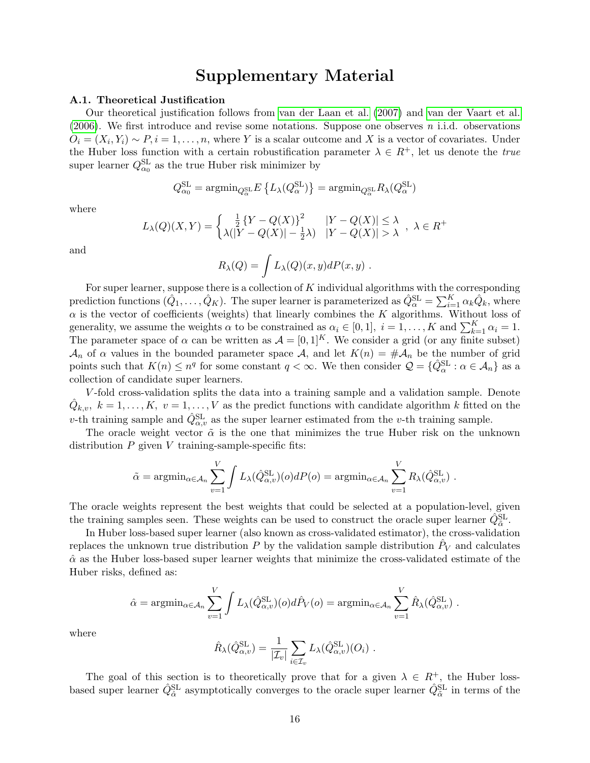## Supplementary Material

#### A.1. Theoretical Justification

Our theoretical justification follows from [van der Laan et al. \(2007\)](#page-12-6) and [van der Vaart et al.](#page-12-15) [\(2006\)](#page-12-15). We first introduce and revise some notations. Suppose one observes  $n$  i.i.d. observations  $O_i = (X_i, Y_i) \sim P, i = 1, \ldots, n$ , where Y is a scalar outcome and X is a vector of covariates. Under the Huber loss function with a certain robustification parameter  $\lambda \in R^+$ , let us denote the true super learner  $Q_{\alpha_0}^{\text{SL}}$  as the true Huber risk minimizer by

$$
Q_{\alpha_0}^{\text{SL}} = \mathrm{argmin}_{Q_{\alpha}^{\text{SL}}} E \left\{ L_{\lambda}(Q_{\alpha}^{\text{SL}}) \right\} = \mathrm{argmin}_{Q_{\alpha}^{\text{SL}}} R_{\lambda}(Q_{\alpha}^{\text{SL}})
$$

where

$$
L_{\lambda}(Q)(X,Y) = \begin{cases} \frac{1}{2} \{Y - Q(X)\}^2 & |Y - Q(X)| \leq \lambda \\ \lambda(|Y - Q(X)| - \frac{1}{2}\lambda) & |Y - Q(X)| > \lambda \end{cases}, \lambda \in R^+
$$

and

$$
R_{\lambda}(Q) = \int L_{\lambda}(Q)(x, y) dP(x, y) .
$$

For super learner, suppose there is a collection of  $K$  individual algorithms with the corresponding prediction functions  $(\hat{Q}_1,\ldots,\hat{Q}_K)$ . The super learner is parameterized as  $\hat{Q}^{\text{SL}}_{\alpha} = \sum_{i=1}^K \alpha_k \hat{Q}_k$ , where  $\alpha$  is the vector of coefficients (weights) that linearly combines the K algorithms. Without loss of generality, we assume the weights  $\alpha$  to be constrained as  $\alpha_i \in [0,1]$ ,  $i = 1, \ldots, K$  and  $\sum_{k=1}^{K} \alpha_i = 1$ . The parameter space of  $\alpha$  can be written as  $\mathcal{A} = [0, 1]^K$ . We consider a grid (or any finite subset)  $\mathcal{A}_n$  of  $\alpha$  values in the bounded parameter space  $\mathcal{A}$ , and let  $K(n) = \# \mathcal{A}_n$  be the number of grid points such that  $K(n) \leq n^q$  for some constant  $q < \infty$ . We then consider  $\mathcal{Q} = \{ \hat{Q}_{\alpha}^{\text{SL}} : \alpha \in \mathcal{A}_n \}$  as a collection of candidate super learners.

V -fold cross-validation splits the data into a training sample and a validation sample. Denote  $\hat{Q}_{k,v}, k = 1, \ldots, K, v = 1, \ldots, V$  as the predict functions with candidate algorithm k fitted on the v-th training sample and  $\hat{Q}_{\alpha,v}^{\text{SL}}$  as the super learner estimated from the v-th training sample.

The oracle weight vector  $\tilde{\alpha}$  is the one that minimizes the true Huber risk on the unknown distribution  $P$  given  $V$  training-sample-specific fits:

$$
\tilde{\alpha} = \operatorname{argmin}_{\alpha \in \mathcal{A}_n} \sum_{v=1}^V \int L_{\lambda}(\hat{Q}_{\alpha,v}^{\text{SL}})(o) dP(o) = \operatorname{argmin}_{\alpha \in \mathcal{A}_n} \sum_{v=1}^V R_{\lambda}(\hat{Q}_{\alpha,v}^{\text{SL}}) .
$$

The oracle weights represent the best weights that could be selected at a population-level, given the training samples seen. These weights can be used to construct the oracle super learner  $\hat{Q}_{\tilde{\alpha}}^{\text{SL}}$ .

In Huber loss-based super learner (also known as cross-validated estimator), the cross-validation replaces the unknown true distribution  $P$  by the validation sample distribution  $\hat{P}_V$  and calculates  $\hat{\alpha}$  as the Huber loss-based super learner weights that minimize the cross-validated estimate of the Huber risks, defined as:

$$
\hat{\alpha} = \operatorname{argmin}_{\alpha \in \mathcal{A}_n} \sum_{v=1}^V \int L_{\lambda}(\hat{Q}_{\alpha,v}^{\text{SL}})(o) d\hat{P}_V(o) = \operatorname{argmin}_{\alpha \in \mathcal{A}_n} \sum_{v=1}^V \hat{R}_{\lambda}(\hat{Q}_{\alpha,v}^{\text{SL}}).
$$

where

$$
\hat{R}_{\lambda}(\hat{Q}_{\alpha,v}^{\text{SL}}) = \frac{1}{|\mathcal{I}_v|} \sum_{i \in \mathcal{I}_v} L_{\lambda}(\hat{Q}_{\alpha,v}^{\text{SL}})(O_i) .
$$

The goal of this section is to theoretically prove that for a given  $\lambda \in R^+$ , the Huber lossbased super learner  $\hat{Q}^{\text{SL}}_{\hat{\alpha}}$  asymptotically converges to the oracle super learner  $\hat{Q}^{\text{SL}}_{\hat{\alpha}}$  in terms of the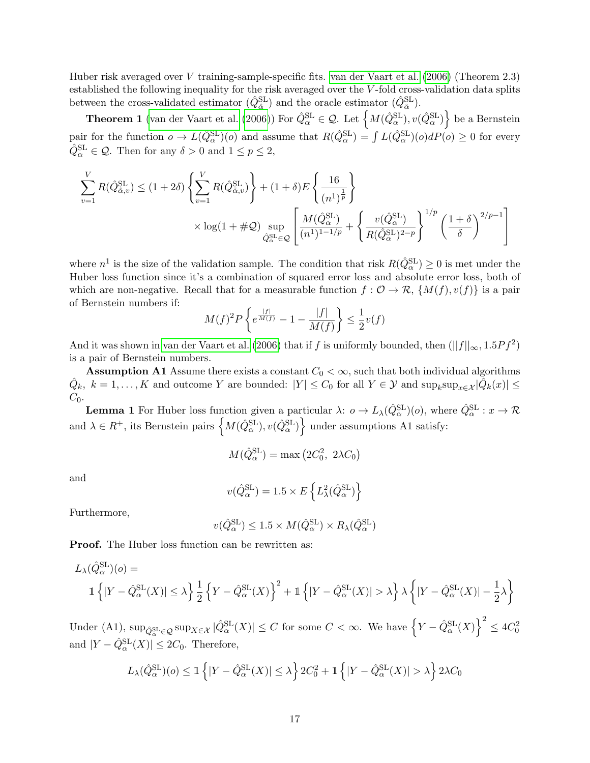Huber risk averaged over V training-sample-specific fits. [van der Vaart et al. \(2006\)](#page-12-15) (Theorem 2.3) established the following inequality for the risk averaged over the V -fold cross-validation data splits between the cross-validated estimator  $(\hat{Q}_{\hat{\alpha}}^{\text{SL}})$  and the oracle estimator  $(\hat{Q}_{\tilde{\alpha}}^{\text{SL}})$ .

**Theorem 1** [\(van der Vaart et al. \(2006\)](#page-12-15)) For  $\hat{Q}_{\alpha}^{\text{SL}} \in \mathcal{Q}$ . Let  $\left\{ M(\hat{Q}_{\alpha}^{\text{SL}}), v(\hat{Q}_{\alpha}^{\text{SL}}) \right\}$  be a Bernstein pair for the function  $o \to L(\hat{Q}_{\alpha}^{\text{SL}})(o)$  and assume that  $R(\hat{Q}_{\alpha}^{\text{SL}}) = \int L(\hat{Q}_{\alpha}^{\text{SL}})(o) dP(o) \geq 0$  for every  $\hat{Q}_{\alpha}^{\text{SL}} \in \mathcal{Q}$ . Then for any  $\delta > 0$  and  $1 \le p \le 2$ ,

$$
\sum_{v=1}^{V} R(\hat{Q}_{\alpha,v}^{\text{SL}}) \le (1+2\delta) \left\{ \sum_{v=1}^{V} R(\hat{Q}_{\alpha,v}^{\text{SL}}) \right\} + (1+\delta) E \left\{ \frac{16}{(n^1)^{\frac{1}{p}}} \right\}
$$

$$
\times \log(1+\#\mathcal{Q}) \sup_{\hat{Q}_{\alpha}^{\text{SL}} \in \mathcal{Q}} \left[ \frac{M(\hat{Q}_{\alpha}^{\text{SL}})}{(n^1)^{1-1/p}} + \left\{ \frac{v(\hat{Q}_{\alpha}^{\text{SL}})}{R(\hat{Q}_{\alpha}^{\text{SL}})^{2-p}} \right\}^{1/p} \left( \frac{1+\delta}{\delta} \right)^{2/p-1} \right]
$$

where  $n^1$  is the size of the validation sample. The condition that risk  $R(\hat{Q}_{\alpha}^{\text{SL}}) \geq 0$  is met under the Huber loss function since it's a combination of squared error loss and absolute error loss, both of which are non-negative. Recall that for a measurable function  $f: \mathcal{O} \to \mathcal{R}, \{M(f), v(f)\}\$ is a pair of Bernstein numbers if:

$$
M(f)^{2}P\left\{e^{\frac{|f|}{M(f)}} - 1 - \frac{|f|}{M(f)}\right\} \le \frac{1}{2}v(f)
$$

And it was shown in [van der Vaart et al. \(2006\)](#page-12-15) that if f is uniformly bounded, then  $(||f||_{\infty}, 1.5Pf^2)$ is a pair of Bernstein numbers.

**Assumption A1** Assume there exists a constant  $C_0 < \infty$ , such that both individual algorithms  $\hat{Q}_k$ ,  $k = 1, ..., K$  and outcome Y are bounded:  $|Y| \leq C_0$  for all  $Y \in \mathcal{Y}$  and  $\sup_k \sup_{x \in \mathcal{X}} |\hat{Q}_k(x)| \leq$  $C_0$ .

**Lemma 1** For Huber loss function given a particular  $\lambda: \rho \to L_{\lambda}(\hat{Q}_{\alpha}^{\text{SL}})(o)$ , where  $\hat{Q}_{\alpha}^{\text{SL}}: x \to \mathcal{R}$ and  $\lambda \in R^+$ , its Bernstein pairs  $\left\{ M(\hat{Q}_\alpha^{\text{SL}}), v(\hat{Q}_\alpha^{\text{SL}}) \right\}$  under assumptions A1 satisfy:

$$
M(\hat{Q}_{\alpha}^{\text{SL}}) = \max (2C_0^2, 2\lambda C_0)
$$

and

$$
v(\hat{Q}_{\alpha}^{\text{SL}}) = 1.5 \times E\left\{L_{\lambda}^{2}(\hat{Q}_{\alpha}^{\text{SL}})\right\}
$$

Furthermore,

$$
v(\hat{Q}_{\alpha}^{\text{SL}}) \le 1.5 \times M(\hat{Q}_{\alpha}^{\text{SL}}) \times R_{\lambda}(\hat{Q}_{\alpha}^{\text{SL}})
$$

Proof. The Huber loss function can be rewritten as:

$$
L_{\lambda}(\hat{Q}_{\alpha}^{\text{SL}})(o) =
$$
  

$$
\mathbb{1}\left\{|Y-\hat{Q}_{\alpha}^{\text{SL}}(X)| \leq \lambda\right\} \frac{1}{2} \left\{Y-\hat{Q}_{\alpha}^{\text{SL}}(X)\right\}^{2} + \mathbb{1}\left\{|Y-\hat{Q}_{\alpha}^{\text{SL}}(X)| > \lambda\right\} \lambda \left\{|Y-\hat{Q}_{\alpha}^{\text{SL}}(X)| - \frac{1}{2}\lambda\right\}
$$

Under (A1),  $\sup_{\hat{Q}_{\alpha}^{\text{SL}} \in \mathcal{Q}} \sup_{X \in \mathcal{X}} |\hat{Q}_{\alpha}^{\text{SL}}(X)| \leq C$  for some  $C < \infty$ . We have  $\left\{Y - \hat{Q}_{\alpha}^{\text{SL}}(X)\right\}^2 \leq 4C_0^2$ and  $|Y - \hat{Q}_{\alpha}^{\text{SL}}(X)| \leq 2C_0$ . Therefore,

$$
L_{\lambda}(\hat{Q}_{\alpha}^{\text{SL}})(o) \leq \mathbb{1}\left\{ |Y - \hat{Q}_{\alpha}^{\text{SL}}(X)| \leq \lambda \right\} 2C_0^2 + \mathbb{1}\left\{ |Y - \hat{Q}_{\alpha}^{\text{SL}}(X)| > \lambda \right\} 2\lambda C_0
$$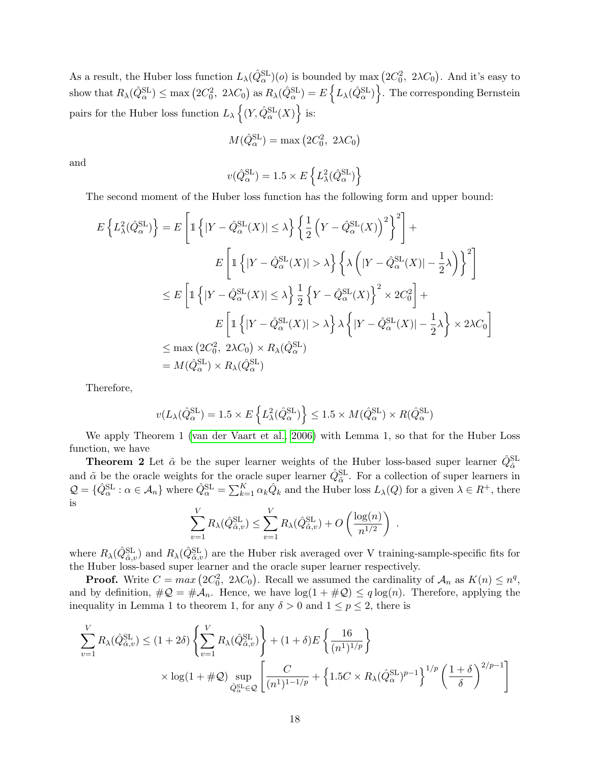As a result, the Huber loss function  $L_\lambda(\hat{Q}_\alpha^{\rm SL})(o)$  is bounded by max  $(2C_0^2, 2\lambda C_0)$ . And it's easy to  $\text{show that } R_\lambda(\hat{Q}^{\text{SL}}_\alpha) \le \max\left(2C_0^2, \ 2\lambda C_0\right) \text{ as } R_\lambda(\hat{Q}^{\text{SL}}_\alpha) = E\left\{L_\lambda(\hat{Q}^{\text{SL}}_\alpha)\right\}.$  The corresponding Bernstein pairs for the Huber loss function  $L_{\lambda} \left\{ (Y, \hat{Q}_{\alpha}^{\text{SL}}(X)) \right\}$  is:

$$
M(\hat{Q}_{\alpha}^{\text{SL}}) = \max (2C_0^2, 2\lambda C_0)
$$

and

$$
v(\hat{Q}_{\alpha}^{\text{SL}}) = 1.5 \times E\left\{L_{\lambda}^{2}(\hat{Q}_{\alpha}^{\text{SL}})\right\}
$$

The second moment of the Huber loss function has the following form and upper bound:

$$
E\left\{L_{\lambda}^{2}(\hat{Q}_{\alpha}^{\text{SL}})\right\} = E\left[\mathbb{1}\left\{|Y - \hat{Q}_{\alpha}^{\text{SL}}(X)| \leq \lambda\right\} \left\{\frac{1}{2}\left(Y - \hat{Q}_{\alpha}^{\text{SL}}(X)\right)^{2}\right\}^{2}\right] +
$$
  
\n
$$
E\left[\mathbb{1}\left\{|Y - \hat{Q}_{\alpha}^{\text{SL}}(X)| > \lambda\right\} \left\{\lambda\left(|Y - \hat{Q}_{\alpha}^{\text{SL}}(X)| - \frac{1}{2}\lambda\right)\right\}^{2}\right]
$$
  
\n
$$
\leq E\left[\mathbb{1}\left\{|Y - \hat{Q}_{\alpha}^{\text{SL}}(X)| \leq \lambda\right\} \frac{1}{2}\left\{Y - \hat{Q}_{\alpha}^{\text{SL}}(X)\right\}^{2} \times 2C_{0}^{2}\right] +
$$
  
\n
$$
E\left[\mathbb{1}\left\{|Y - \hat{Q}_{\alpha}^{\text{SL}}(X)| > \lambda\right\} \lambda\left\{|Y - \hat{Q}_{\alpha}^{\text{SL}}(X)| - \frac{1}{2}\lambda\right\} \times 2\lambda C_{0}\right]
$$
  
\n
$$
\leq \max(2C_{0}^{2}, 2\lambda C_{0}) \times R_{\lambda}(\hat{Q}_{\alpha}^{\text{SL}})
$$
  
\n
$$
= M(\hat{Q}_{\alpha}^{\text{SL}}) \times R_{\lambda}(\hat{Q}_{\alpha}^{\text{SL}})
$$

Therefore,

$$
v(L_{\lambda}(\hat{Q}_{\alpha}^{\rm SL}) = 1.5 \times E\left\{L_{\lambda}^2(\hat{Q}_{\alpha}^{\rm SL})\right\} \leq 1.5 \times M(\hat{Q}_{\alpha}^{\rm SL}) \times R(\hat{Q}_{\alpha}^{\rm SL})
$$

We apply Theorem 1 [\(van der Vaart et al., 2006\)](#page-12-15) with Lemma 1, so that for the Huber Loss function, we have

**Theorem 2** Let  $\hat{\alpha}$  be the super learner weights of the Huber loss-based super learner  $\hat{Q}_{\hat{\alpha}}^{\text{SL}}$ and  $\tilde{\alpha}$  be the oracle weights for the oracle super learner  $\hat{Q}_{\tilde{\alpha}}^{\text{SL}}$ . For a collection of super learners in  $\mathcal{Q} = \{ \hat{Q}_{\alpha}^{\text{SL}} : \alpha \in \mathcal{A}_n \}$  where  $\hat{Q}_{\alpha}^{\text{SL}} = \sum_{k=1}^{K} \alpha_k \hat{Q}_k$  and the Huber loss  $L_{\lambda}(Q)$  for a given  $\lambda \in R^+$ , there is

$$
\sum_{v=1}^{V} R_{\lambda}(\hat{Q}_{\hat{\alpha},v}^{\text{SL}}) \leq \sum_{v=1}^{V} R_{\lambda}(\hat{Q}_{\tilde{\alpha},v}^{\text{SL}}) + O\left(\frac{\log(n)}{n^{1/2}}\right) .
$$

where  $R_\lambda(\hat{Q}_{\hat{\alpha},v}^{\text{SL}})$  and  $R_\lambda(\hat{Q}_{\tilde{\alpha},v}^{\text{SL}})$  are the Huber risk averaged over V training-sample-specific fits for the Huber loss-based super learner and the oracle super learner respectively.

**Proof.** Write  $C = max (2C_0^2, 2\lambda C_0)$ . Recall we assumed the cardinality of  $\mathcal{A}_n$  as  $K(n) \leq n^q$ , and by definition,  $\#\mathcal{Q} = \#\mathcal{A}_n$ . Hence, we have  $\log(1 + \#\mathcal{Q}) \leq q \log(n)$ . Therefore, applying the inequality in Lemma 1 to theorem 1, for any  $\delta > 0$  and  $1 \le p \le 2$ , there is

$$
\sum_{v=1}^{V} R_{\lambda}(\hat{Q}_{\hat{\alpha},v}^{\text{SL}}) \le (1+2\delta) \left\{ \sum_{v=1}^{V} R_{\lambda}(\hat{Q}_{\hat{\alpha},v}^{\text{SL}}) \right\} + (1+\delta)E \left\{ \frac{16}{(n^{1})^{1/p}} \right\}
$$

$$
\times \log(1+\#\mathcal{Q}) \sup_{\hat{Q}_{\alpha}^{\text{SL}} \in \mathcal{Q}} \left[ \frac{C}{(n^{1})^{1-1/p}} + \left\{ 1.5C \times R_{\lambda}(\hat{Q}_{\alpha}^{\text{SL}})^{p-1} \right\}^{1/p} \left( \frac{1+\delta}{\delta} \right)^{2/p-1} \right]
$$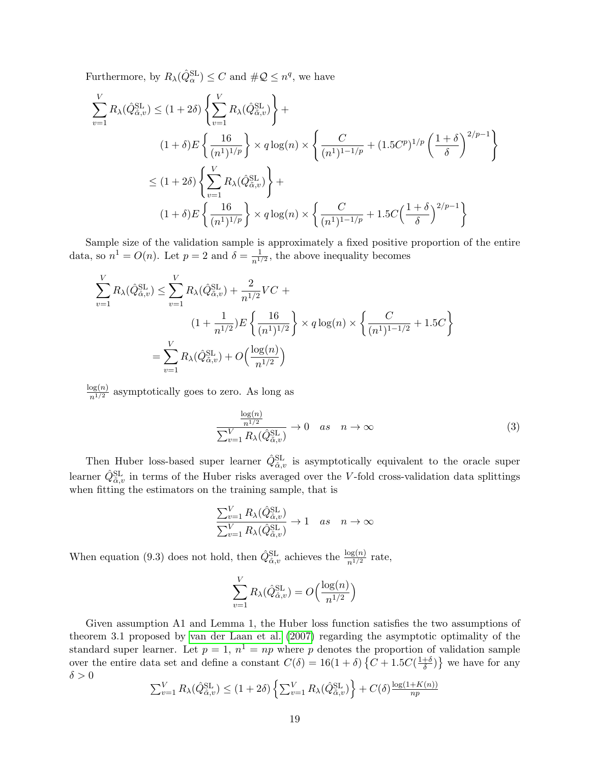Furthermore, by  $R_{\lambda}(\hat{Q}_{\alpha}^{\text{SL}}) \leq C$  and  $\#\mathcal{Q} \leq n^q$ , we have

$$
\sum_{v=1}^{V} R_{\lambda}(\hat{Q}_{\hat{\alpha},v}^{\text{SL}}) \leq (1+2\delta) \left\{ \sum_{v=1}^{V} R_{\lambda}(\hat{Q}_{\hat{\alpha},v}^{\text{SL}}) \right\} +
$$
\n
$$
(1+\delta)E \left\{ \frac{16}{(n^{1})^{1/p}} \right\} \times q \log(n) \times \left\{ \frac{C}{(n^{1})^{1-1/p}} + (1.5C^{p})^{1/p} \left( \frac{1+\delta}{\delta} \right)^{2/p-1} \right\}
$$
\n
$$
\leq (1+2\delta) \left\{ \sum_{v=1}^{V} R_{\lambda}(\hat{Q}_{\hat{\alpha},v}^{\text{SL}}) \right\} +
$$
\n
$$
(1+\delta)E \left\{ \frac{16}{(n^{1})^{1/p}} \right\} \times q \log(n) \times \left\{ \frac{C}{(n^{1})^{1-1/p}} + 1.5C \left( \frac{1+\delta}{\delta} \right)^{2/p-1} \right\}
$$

Sample size of the validation sample is approximately a fixed positive proportion of the entire data, so  $n^1 = O(n)$ . Let  $p = 2$  and  $\delta = \frac{1}{n!}$  $\frac{1}{n^{1/2}}$ , the above inequality becomes

$$
\sum_{v=1}^{V} R_{\lambda}(\hat{Q}_{\hat{\alpha},v}^{\text{SL}}) \leq \sum_{v=1}^{V} R_{\lambda}(\hat{Q}_{\hat{\alpha},v}^{\text{SL}}) + \frac{2}{n^{1/2}} VC +
$$
\n
$$
(1 + \frac{1}{n^{1/2}})E\left\{\frac{16}{(n^{1})^{1/2}}\right\} \times q \log(n) \times \left\{\frac{C}{(n^{1})^{1-1/2}} + 1.5C\right\}
$$
\n
$$
= \sum_{v=1}^{V} R_{\lambda}(\hat{Q}_{\hat{\alpha},v}^{\text{SL}}) + O\left(\frac{\log(n)}{n^{1/2}}\right)
$$

 $\frac{\log(n)}{n^{1/2}}$  asymptotically goes to zero. As long as

$$
\frac{\frac{\log(n)}{n^{1/2}}}{\sum_{v=1}^{V} R_{\lambda}(\hat{Q}_{\tilde{\alpha},v}^{\text{SL}})} \to 0 \quad as \quad n \to \infty
$$
\n(3)

Then Huber loss-based super learner  $\hat{Q}^{\text{SL}}_{\hat{\alpha},v}$  is asymptotically equivalent to the oracle super learner  $\hat{Q}^{\text{SL}}_{\tilde{\alpha},v}$  in terms of the Huber risks averaged over the V-fold cross-validation data splittings when fitting the estimators on the training sample, that is

$$
\frac{\sum_{v=1}^{V} R_{\lambda}(\hat{Q}_{\hat{\alpha},v}^{\text{SL}})}{\sum_{v=1}^{V} R_{\lambda}(\hat{Q}_{\tilde{\alpha},v}^{\text{SL}})} \to 1 \quad as \quad n \to \infty
$$

When equation (9.3) does not hold, then  $\hat{Q}^{\text{SL}}_{\hat{\alpha},v}$  achieves the  $\frac{\log(n)}{n^{1/2}}$  rate,

$$
\sum_{v=1}^{V} R_{\lambda}(\hat{Q}_{\hat{\alpha},v}^{\text{SL}}) = O\left(\frac{\log(n)}{n^{1/2}}\right)
$$

Given assumption A1 and Lemma 1, the Huber loss function satisfies the two assumptions of theorem 3.1 proposed by [van der Laan et al. \(2007\)](#page-12-6) regarding the asymptotic optimality of the standard super learner. Let  $p = 1$ ,  $n^1 = np$  where p denotes the proportion of validation sample over the entire data set and define a constant  $C(\delta) = 16(1+\delta) \{ C + 1.5C(\frac{1+\delta}{\delta}) \}$  $\left\{\frac{+ \delta}{\delta} \right\}$  we have for any  $\delta > 0$ 

$$
\sum_{v=1}^{V} R_{\lambda}(\hat{Q}_{\hat{\alpha},v}^{SL}) \le (1+2\delta) \left\{ \sum_{v=1}^{V} R_{\lambda}(\hat{Q}_{\tilde{\alpha},v}^{SL}) \right\} + C(\delta) \frac{\log(1+K(n))}{np}
$$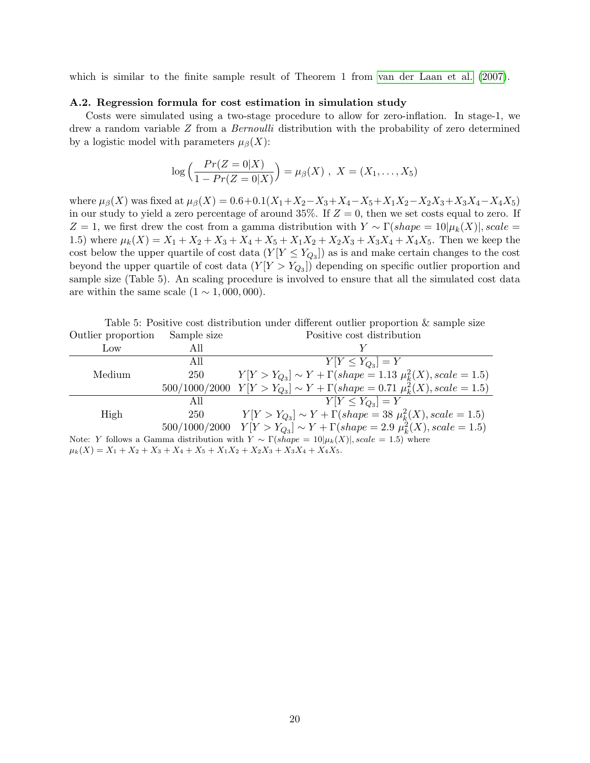which is similar to the finite sample result of Theorem 1 from [van der Laan et al. \(2007\)](#page-12-6).

#### A.2. Regression formula for cost estimation in simulation study

Costs were simulated using a two-stage procedure to allow for zero-inflation. In stage-1, we drew a random variable Z from a Bernoulli distribution with the probability of zero determined by a logistic model with parameters  $\mu_{\beta}(X)$ :

$$
\log\left(\frac{Pr(Z=0|X)}{1 - Pr(Z=0|X)}\right) = \mu_{\beta}(X), \ X = (X_1, \ldots, X_5)
$$

where  $\mu_{\beta}(X)$  was fixed at  $\mu_{\beta}(X) = 0.6 + 0.1(X_1 + X_2 - X_3 + X_4 - X_5 + X_1X_2 - X_2X_3 + X_3X_4 - X_4X_5)$ in our study to yield a zero percentage of around  $35\%$ . If  $Z = 0$ , then we set costs equal to zero. If Z = 1, we first drew the cost from a gamma distribution with  $Y \sim \Gamma(shape = 10|\mu_k(X)|$ , scale = 1.5) where  $\mu_k(X) = X_1 + X_2 + X_3 + X_4 + X_5 + X_1X_2 + X_2X_3 + X_3X_4 + X_4X_5$ . Then we keep the cost below the upper quartile of cost data  $(Y[Y \leq Y_{Q_3}])$  as is and make certain changes to the cost beyond the upper quartile of cost data  $(Y|Y > Y_{Q_3})$  depending on specific outlier proportion and sample size (Table 5). An scaling procedure is involved to ensure that all the simulated cost data are within the same scale  $(1 \sim 1,000,000)$ .

Table 5: Positive cost distribution under different outlier proportion & sample size Outlier proportion Sample size Positive cost distribution

| Low    | All |                                                                                                    |
|--------|-----|----------------------------------------------------------------------------------------------------|
|        | All | $Y[Y \leq Y_{Q_3}] = Y$                                                                            |
| Medium | 250 | $Y[Y > Y_{Q_3}] \sim Y + \Gamma(shape = 1.13 \mu_k^2(X), scale = 1.5)$                             |
|        |     | $500/1000/2000$ $Y Y > Y_{Q_3} \sim Y + \Gamma(shape = 0.71 \mu_k^2(X), scale = 1.5)$              |
|        | All | $Y[Y \leq Y_{Q_2}] = Y$                                                                            |
| High   | 250 | $Y[Y > Y_{Q_3}] \sim Y + \Gamma(shape = 38 \mu_k^2(X), scale = 1.5)$                               |
|        |     | $500/1000/2000$ $Y[Y > Y_{Q_3}] \sim Y + \Gamma(shape = 2.9 \mu_k^2(X), scale = 1.5)$              |
|        |     | Note: Y follows a Gamma distribution with $Y \sim \Gamma(shape = 10 \mu_k(X) , scale = 1.5)$ where |
|        |     | $\mu_k(X) = X_1 + X_2 + X_3 + X_4 + X_5 + X_1X_2 + X_2X_3 + X_3X_4 + X_4X_5.$                      |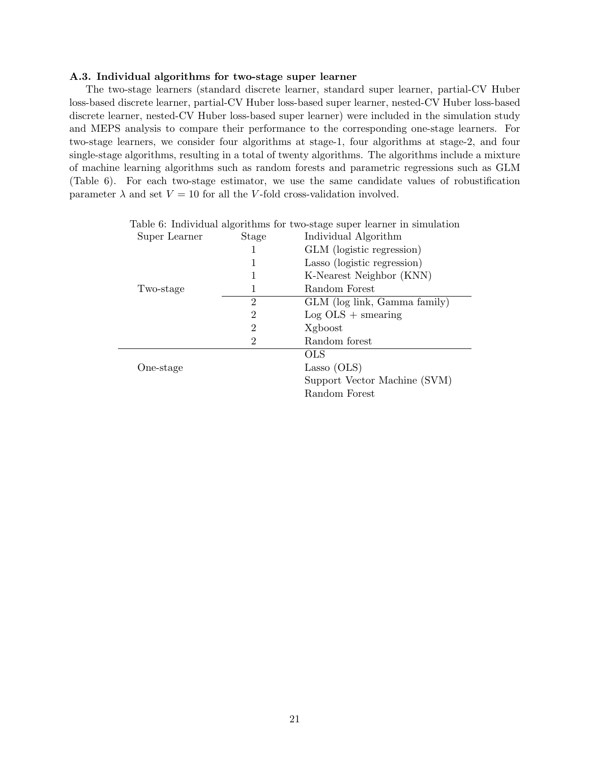#### A.3. Individual algorithms for two-stage super learner

The two-stage learners (standard discrete learner, standard super learner, partial-CV Huber loss-based discrete learner, partial-CV Huber loss-based super learner, nested-CV Huber loss-based discrete learner, nested-CV Huber loss-based super learner) were included in the simulation study and MEPS analysis to compare their performance to the corresponding one-stage learners. For two-stage learners, we consider four algorithms at stage-1, four algorithms at stage-2, and four single-stage algorithms, resulting in a total of twenty algorithms. The algorithms include a mixture of machine learning algorithms such as random forests and parametric regressions such as GLM (Table 6). For each two-stage estimator, we use the same candidate values of robustification parameter  $\lambda$  and set  $V = 10$  for all the V-fold cross-validation involved.

| Table 6: Individual algorithms for two-stage super learner in simulation |                |                              |  |  |  |  |
|--------------------------------------------------------------------------|----------------|------------------------------|--|--|--|--|
| Super Learner                                                            | Stage          | Individual Algorithm         |  |  |  |  |
|                                                                          |                | GLM (logistic regression)    |  |  |  |  |
|                                                                          |                | Lasso (logistic regression)  |  |  |  |  |
|                                                                          |                | K-Nearest Neighbor (KNN)     |  |  |  |  |
| Two-stage                                                                | 1              | Random Forest                |  |  |  |  |
|                                                                          | $\overline{2}$ | GLM (log link, Gamma family) |  |  |  |  |
|                                                                          | 2              | $Log OLS + smearing$         |  |  |  |  |
|                                                                          | 2              | Xgboost                      |  |  |  |  |
|                                                                          | 2              | Random forest                |  |  |  |  |
|                                                                          |                | OLS                          |  |  |  |  |
| One-stage                                                                |                | Lasso (OLS)                  |  |  |  |  |
|                                                                          |                | Support Vector Machine (SVM) |  |  |  |  |
|                                                                          |                | Random Forest                |  |  |  |  |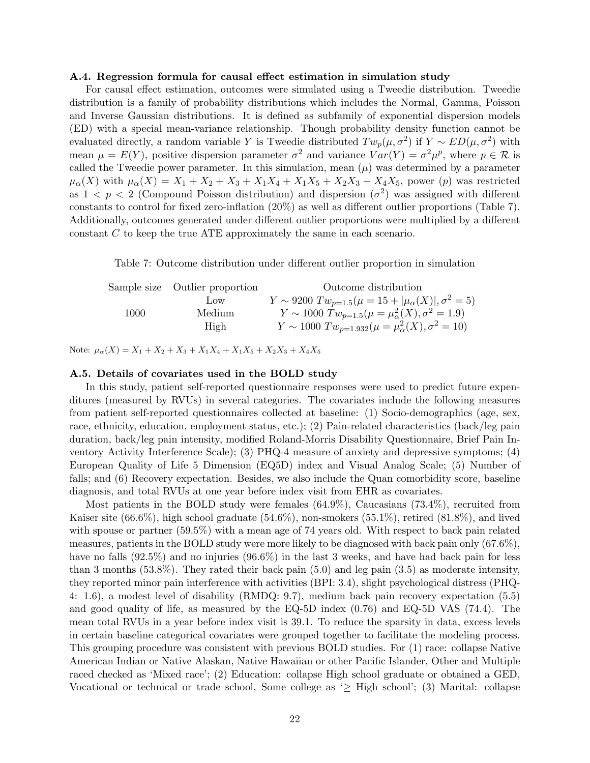#### A.4. Regression formula for causal effect estimation in simulation study

For causal effect estimation, outcomes were simulated using a Tweedie distribution. Tweedie distribution is a family of probability distributions which includes the Normal, Gamma, Poisson and Inverse Gaussian distributions. It is defined as subfamily of exponential dispersion models (ED) with a special mean-variance relationship. Though probability density function cannot be evaluated directly, a random variable Y is Tweedie distributed  $Tw_{p}(\mu, \sigma^2)$  if  $Y \sim ED(\mu, \sigma^2)$  with mean  $\mu = E(Y)$ , positive dispersion parameter  $\sigma^2$  and variance  $Var(Y) = \sigma^2 \mu^p$ , where  $p \in \mathcal{R}$  is called the Tweedie power parameter. In this simulation, mean  $(\mu)$  was determined by a parameter  $\mu_{\alpha}(X)$  with  $\mu_{\alpha}(X) = X_1 + X_2 + X_3 + X_1X_4 + X_1X_5 + X_2X_3 + X_4X_5$ , power (p) was restricted as  $1 < p < 2$  (Compound Poisson distribution) and dispersion  $(\sigma^2)$  was assigned with different constants to control for fixed zero-inflation (20%) as well as different outlier proportions (Table 7). Additionally, outcomes generated under different outlier proportions were multiplied by a different constant C to keep the true ATE approximately the same in each scenario.

Table 7: Outcome distribution under different outlier proportion in simulation

Sample size Outlier proportion Outcome distribution Low  $Y \sim 9200 \; Tw_{p=1.5}(\mu = 15 + |\mu_{\alpha}(X)|, \sigma^2 = 5)$ 1000 Medium  $Y \sim 1000 \; Tw_{p=1.5}(\mu = \mu_\alpha^2(X), \sigma^2 = 1.9)$ High  $Y \sim 1000 \; Tw_{p=1.932}(\mu = \mu_{\alpha}^2(X), \sigma^2 = 10)$ 

Note:  $\mu_{\alpha}(X) = X_1 + X_2 + X_3 + X_1X_4 + X_1X_5 + X_2X_3 + X_4X_5$ 

#### A.5. Details of covariates used in the BOLD study

In this study, patient self-reported questionnaire responses were used to predict future expenditures (measured by RVUs) in several categories. The covariates include the following measures from patient self-reported questionnaires collected at baseline: (1) Socio-demographics (age, sex, race, ethnicity, education, employment status, etc.); (2) Pain-related characteristics (back/leg pain duration, back/leg pain intensity, modified Roland-Morris Disability Questionnaire, Brief Pain Inventory Activity Interference Scale); (3) PHQ-4 measure of anxiety and depressive symptoms; (4) European Quality of Life 5 Dimension (EQ5D) index and Visual Analog Scale; (5) Number of falls; and (6) Recovery expectation. Besides, we also include the Quan comorbidity score, baseline diagnosis, and total RVUs at one year before index visit from EHR as covariates.

Most patients in the BOLD study were females (64.9%), Caucasians (73.4%), recruited from Kaiser site  $(66.6\%)$ , high school graduate  $(54.6\%)$ , non-smokers  $(55.1\%)$ , retired  $(81.8\%)$ , and lived with spouse or partner (59.5%) with a mean age of 74 years old. With respect to back pain related measures, patients in the BOLD study were more likely to be diagnosed with back pain only (67.6%), have no falls  $(92.5\%)$  and no injuries  $(96.6\%)$  in the last 3 weeks, and have had back pain for less than 3 months (53.8%). They rated their back pain (5.0) and leg pain (3.5) as moderate intensity, they reported minor pain interference with activities (BPI: 3.4), slight psychological distress (PHQ-4: 1.6), a modest level of disability (RMDQ: 9.7), medium back pain recovery expectation (5.5) and good quality of life, as measured by the EQ-5D index (0.76) and EQ-5D VAS (74.4). The mean total RVUs in a year before index visit is 39.1. To reduce the sparsity in data, excess levels in certain baseline categorical covariates were grouped together to facilitate the modeling process. This grouping procedure was consistent with previous BOLD studies. For (1) race: collapse Native American Indian or Native Alaskan, Native Hawaiian or other Pacific Islander, Other and Multiple raced checked as 'Mixed race'; (2) Education: collapse High school graduate or obtained a GED, Vocational or technical or trade school, Some college as '≥ High school'; (3) Marital: collapse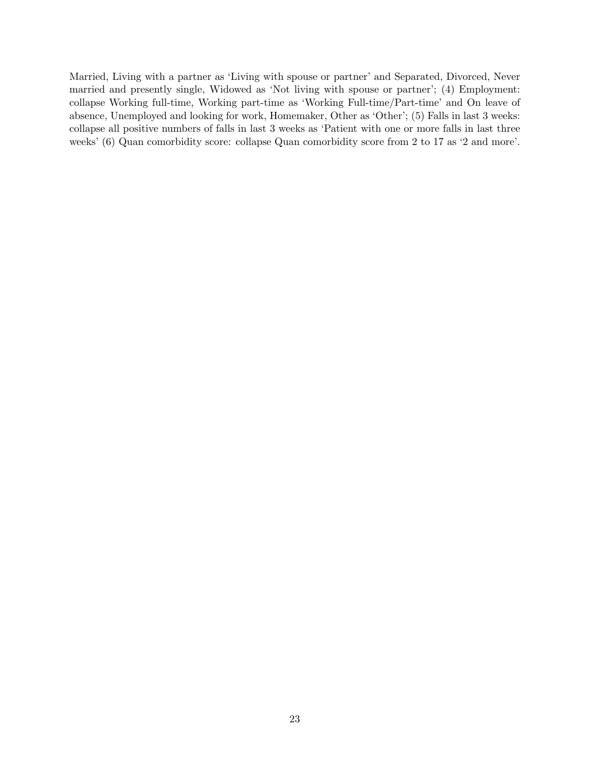Married, Living with a partner as 'Living with spouse or partner' and Separated, Divorced, Never married and presently single, Widowed as 'Not living with spouse or partner'; (4) Employment: collapse Working full-time, Working part-time as 'Working Full-time/Part-time' and On leave of absence, Unemployed and looking for work, Homemaker, Other as 'Other'; (5) Falls in last 3 weeks: collapse all positive numbers of falls in last 3 weeks as 'Patient with one or more falls in last three weeks' (6) Quan comorbidity score: collapse Quan comorbidity score from 2 to 17 as '2 and more'.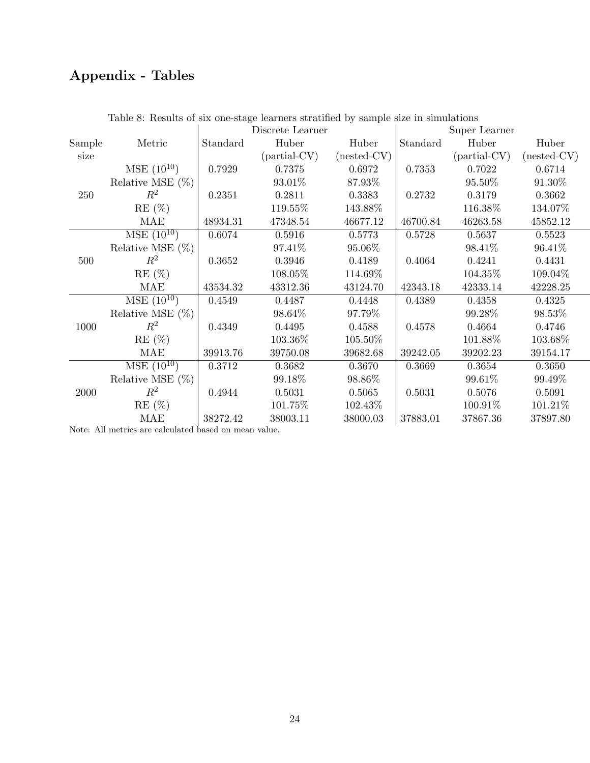# Appendix - Tables

|        | Lable 0. Testation of the burge realities betweened by balliple the 11 simulated |          | Discrete Learner |               |          | Super Learner  |               |
|--------|----------------------------------------------------------------------------------|----------|------------------|---------------|----------|----------------|---------------|
| Sample | Metric                                                                           | Standard | Huber            | Huber         | Standard | Huber          | Huber         |
| size   |                                                                                  |          | $(partial-CV)$   | $(nested-CV)$ |          | $(partial-CV)$ | $(nested-CV)$ |
|        | $MSE(10^{10})$                                                                   | 0.7929   | 0.7375           | 0.6972        | 0.7353   | 0.7022         | 0.6714        |
|        | Relative MSE $(\%)$                                                              |          | 93.01%           | 87.93%        |          | 95.50%         | 91.30%        |
| 250    | $R^2$                                                                            | 0.2351   | 0.2811           | 0.3383        | 0.2732   | 0.3179         | 0.3662        |
|        | $RE(\%)$                                                                         |          | 119.55%          | 143.88%       |          | 116.38%        | 134.07%       |
|        | MAE                                                                              | 48934.31 | 47348.54         | 46677.12      | 46700.84 | 46263.58       | 45852.12      |
|        | $\overline{\rm MSE (10^{10})}$                                                   | 0.6074   | 0.5916           | 0.5773        | 0.5728   | 0.5637         | 0.5523        |
|        | Relative MSE $(\%)$                                                              |          | 97.41\%          | 95.06%        |          | 98.41%         | 96.41\%       |
| 500    | $R^2$                                                                            | 0.3652   | 0.3946           | 0.4189        | 0.4064   | 0.4241         | 0.4431        |
|        | $RE(\%)$                                                                         |          | 108.05%          | 114.69%       |          | 104.35%        | 109.04%       |
|        | MAE                                                                              | 43534.32 | 43312.36         | 43124.70      | 42343.18 | 42333.14       | 42228.25      |
|        | $\overline{\rm MSE (10^{10})}$                                                   | 0.4549   | 0.4487           | 0.4448        | 0.4389   | 0.4358         | 0.4325        |
|        | Relative MSE $(\%)$                                                              |          | 98.64%           | 97.79%        |          | 99.28%         | 98.53%        |
| 1000   | $\,R^2$                                                                          | 0.4349   | 0.4495           | 0.4588        | 0.4578   | 0.4664         | 0.4746        |
|        | $RE(\%)$                                                                         |          | 103.36\%         | 105.50%       |          | 101.88%        | 103.68%       |
|        | MAE                                                                              | 39913.76 | 39750.08         | 39682.68      | 39242.05 | 39202.23       | 39154.17      |
|        | $MSE(10^{10})$                                                                   | 0.3712   | 0.3682           | 0.3670        | 0.3669   | 0.3654         | 0.3650        |
|        | Relative MSE $(\%)$                                                              |          | 99.18\%          | 98.86%        |          | 99.61\%        | 99.49%        |
| 2000   | $R^2$                                                                            | 0.4944   | 0.5031           | 0.5065        | 0.5031   | 0.5076         | 0.5091        |
|        | $RE(\%)$                                                                         |          | 101.75%          | 102.43%       |          | 100.91\%       | 101.21\%      |
|        | <b>MAE</b>                                                                       | 38272.42 | 38003.11         | 38000.03      | 37883.01 | 37867.36       | 37897.80      |

Table 8: Results of six one-stage learners stratified by sample size in simulations

Note: All metrics are calculated based on mean value.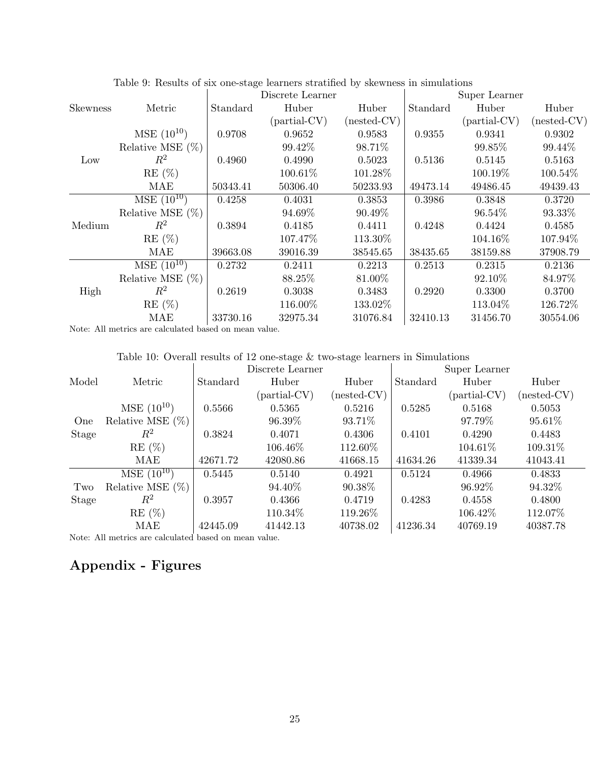|                 |                     |          | Discrete Learner |               |          | Super Learner  |               |
|-----------------|---------------------|----------|------------------|---------------|----------|----------------|---------------|
| <b>Skewness</b> | Metric              | Standard | Huber            | Huber         | Standard | Huber          | Huber         |
|                 |                     |          | $(partial-CV)$   | $(nested-CV)$ |          | $(partial-CV)$ | $(nested-CV)$ |
|                 | $MSE(10^{10})$      | 0.9708   | 0.9652           | 0.9583        | 0.9355   | 0.9341         | 0.9302        |
|                 | Relative MSE $(\%)$ |          | 99.42%           | 98.71%        |          | 99.85%         | 99.44%        |
| Low             | $\,R^2$             | 0.4960   | 0.4990           | 0.5023        | 0.5136   | 0.5145         | 0.5163        |
|                 | $RE(\%)$            |          | $100.61\%$       | 101.28%       |          | 100.19%        | 100.54%       |
|                 | MAE                 | 50343.41 | 50306.40         | 50233.93      | 49473.14 | 49486.45       | 49439.43      |
|                 | $MSE(10^{10})$      | 0.4258   | 0.4031           | 0.3853        | 0.3986   | 0.3848         | 0.3720        |
|                 | Relative MSE $(\%)$ |          | 94.69%           | 90.49%        |          | 96.54%         | 93.33%        |
| Medium          | $R^2$               | 0.3894   | 0.4185           | 0.4411        | 0.4248   | 0.4424         | 0.4585        |
|                 | $RE(\%)$            |          | 107.47\%         | 113.30%       |          | 104.16\%       | 107.94%       |
|                 | MAE                 | 39663.08 | 39016.39         | 38545.65      | 38435.65 | 38159.88       | 37908.79      |
|                 | $MSE(10^{10})$      | 0.2732   | 0.2411           | 0.2213        | 0.2513   | 0.2315         | 0.2136        |
| High            | Relative MSE $(\%)$ |          | 88.25%           | 81.00%        |          | 92.10\%        | 84.97%        |
|                 | $\,R^2$             | 0.2619   | 0.3038           | 0.3483        | 0.2920   | 0.3300         | 0.3700        |
|                 | $RE(\%)$            |          | 116.00%          | 133.02%       |          | 113.04\%       | 126.72%       |
|                 | MAE                 | 33730.16 | 32975.34         | 31076.84      | 32410.13 | 31456.70       | 30554.06      |

Table 9: Results of six one-stage learners stratified by skewness in simulations

Note: All metrics are calculated based on mean value.

| Table 10: Overall results of 12 one-stage $\&$ two-stage learners in Simulations |  |
|----------------------------------------------------------------------------------|--|
|----------------------------------------------------------------------------------|--|

|                                                                                                                                                                                                                                                                                                                                    |                     |          | Discrete Learner |               |          | Super Learner |             |
|------------------------------------------------------------------------------------------------------------------------------------------------------------------------------------------------------------------------------------------------------------------------------------------------------------------------------------|---------------------|----------|------------------|---------------|----------|---------------|-------------|
| Model                                                                                                                                                                                                                                                                                                                              | Metric              | Standard | Huber            | Huber         | Standard | Huber         | Huber       |
|                                                                                                                                                                                                                                                                                                                                    |                     |          | (partial-CV)     | $(nested-CV)$ |          | (partial-CV)  | (nested-CV) |
|                                                                                                                                                                                                                                                                                                                                    | $MSE(10^{10})$      | 0.5566   | 0.5365           | 0.5216        | 0.5285   | 0.5168        | 0.5053      |
| One                                                                                                                                                                                                                                                                                                                                | Relative MSE $(\%)$ |          | 96.39%           | 93.71%        |          | 97.79%        | 95.61%      |
| Stage                                                                                                                                                                                                                                                                                                                              | $R^2$               | 0.3824   | 0.4071           | 0.4306        | 0.4101   | 0.4290        | 0.4483      |
|                                                                                                                                                                                                                                                                                                                                    | RE(%)               |          | 106.46\%         | 112.60%       |          | 104.61\%      | $109.31\%$  |
|                                                                                                                                                                                                                                                                                                                                    | MAE                 | 42671.72 | 42080.86         | 41668.15      | 41634.26 | 41339.34      | 41043.41    |
|                                                                                                                                                                                                                                                                                                                                    | $MSE(10^{10})$      | 0.5445   | 0.5140           | 0.4921        | 0.5124   | 0.4966        | 0.4833      |
| Two                                                                                                                                                                                                                                                                                                                                | Relative MSE $(\%)$ |          | 94.40\%          | $90.38\%$     |          | 96.92\%       | 94.32\%     |
| Stage                                                                                                                                                                                                                                                                                                                              | $\,R^2$             | 0.3957   | 0.4366           | 0.4719        | 0.4283   | 0.4558        | 0.4800      |
|                                                                                                                                                                                                                                                                                                                                    | $RE(\%)$            |          | 110.34\%         | 119.26\%      |          | 106.42\%      | 112.07%     |
|                                                                                                                                                                                                                                                                                                                                    | MAE                 | 42445.09 | 41442.13         | 40738.02      | 41236.34 | 40769.19      | 40387.78    |
| $\mathbf{A}$ $\mathbf{A}$ $\mathbf{A}$ $\mathbf{A}$ $\mathbf{A}$ $\mathbf{A}$ $\mathbf{A}$ $\mathbf{A}$ $\mathbf{A}$ $\mathbf{A}$ $\mathbf{A}$ $\mathbf{A}$ $\mathbf{A}$ $\mathbf{A}$ $\mathbf{A}$ $\mathbf{A}$ $\mathbf{A}$ $\mathbf{A}$ $\mathbf{A}$ $\mathbf{A}$ $\mathbf{A}$ $\mathbf{A}$ $\mathbf{A}$ $\mathbf{A}$ $\mathbf{$ |                     |          |                  |               |          |               |             |

Note: All metrics are calculated based on mean value.

## Appendix - Figures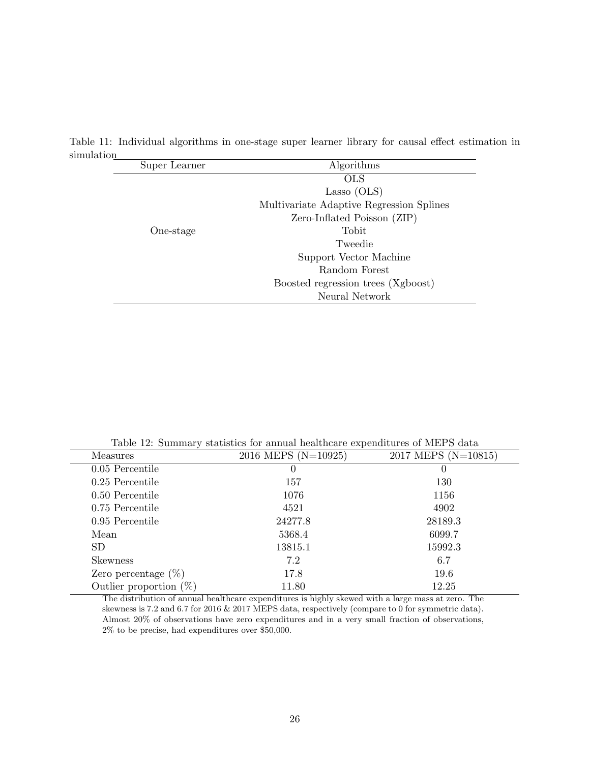| Super Learner | Algorithms                               |
|---------------|------------------------------------------|
|               | <b>OLS</b>                               |
|               | Lasso (OLS)                              |
|               | Multivariate Adaptive Regression Splines |
|               | Zero-Inflated Poisson (ZIP)              |
| One-stage     | Tobit                                    |
|               | Tweedie                                  |
|               | Support Vector Machine                   |
|               | Random Forest                            |
|               | Boosted regression trees (Xgboost)       |
|               | Neural Network                           |

Table 11: Individual algorithms in one-stage super learner library for causal effect estimation in simulation

Table 12: Summary statistics for annual healthcare expenditures of MEPS data

| <b>Measures</b>           | 2016 MEPS (N=10925) | 2017 MEPS (N=10815) |
|---------------------------|---------------------|---------------------|
| 0.05 Percentile           | 0                   | 0                   |
| $0.25$ Percentile         | 157                 | 130                 |
| 0.50 Percentile           | 1076                | 1156                |
| 0.75 Percentile           | 4521                | 4902                |
| 0.95 Percentile           | 24277.8             | 28189.3             |
| Mean                      | 5368.4              | 6099.7              |
| <b>SD</b>                 | 13815.1             | 15992.3             |
| <b>Skewness</b>           | 7.2                 | 6.7                 |
| Zero percentage $(\%)$    | 17.8                | 19.6                |
| Outlier proportion $(\%)$ | 11.80               | 12.25               |

The distribution of annual healthcare expenditures is highly skewed with a large mass at zero. The skewness is 7.2 and 6.7 for 2016 & 2017 MEPS data, respectively (compare to 0 for symmetric data). Almost 20% of observations have zero expenditures and in a very small fraction of observations, 2% to be precise, had expenditures over \$50,000.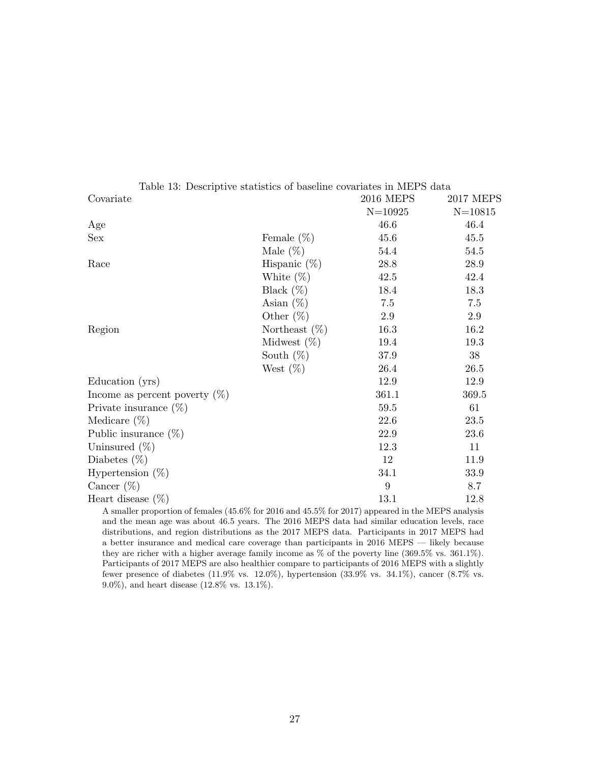| Covariate                        |                  | <b>2016 MEPS</b> | <b>2017 MEPS</b> |
|----------------------------------|------------------|------------------|------------------|
|                                  |                  | $N = 10925$      | $N = 10815$      |
| Age                              |                  | 46.6             | 46.4             |
| Sex                              | Female $(\%)$    | 45.6             | 45.5             |
|                                  | Male $(\%)$      | 54.4             | 54.5             |
| Race                             | Hispanic $(\%)$  | 28.8             | 28.9             |
|                                  | White $(\%)$     | 42.5             | 42.4             |
|                                  | Black $(\%)$     | 18.4             | 18.3             |
|                                  | Asian $(\%)$     | 7.5              | 7.5              |
|                                  | Other $(\%)$     | $2.9\,$          | 2.9              |
| Region                           | Northeast $(\%)$ | 16.3             | 16.2             |
|                                  | Midwest $(\%)$   | 19.4             | 19.3             |
|                                  | South $(\%)$     | 37.9             | 38               |
|                                  | West $(\%)$      | 26.4             | 26.5             |
| Education (yrs)                  |                  | 12.9             | 12.9             |
| Income as percent poverty $(\%)$ |                  | 361.1            | 369.5            |
| Private insurance $(\%)$         |                  | 59.5             | 61               |
| Medicare $(\%)$                  |                  | 22.6             | 23.5             |
| Public insurance $(\%)$          |                  | $22.9\,$         | $23.6\,$         |
| Uninsured $(\%)$                 |                  | 12.3             | 11               |
| Diabetes $(\%)$                  |                  | 12               | 11.9             |
| Hypertension $(\%)$              |                  | 34.1             | 33.9             |
| Cancer $(\%)$                    |                  | 9                | 8.7              |
| Heart disease $(\%)$             |                  | 13.1             | 12.8             |

Table 13: Descriptive statistics of baseline covariates in MEPS data

A smaller proportion of females (45.6% for 2016 and 45.5% for 2017) appeared in the MEPS analysis and the mean age was about 46.5 years. The 2016 MEPS data had similar education levels, race distributions, and region distributions as the 2017 MEPS data. Participants in 2017 MEPS had a better insurance and medical care coverage than participants in 2016 MEPS — likely because they are richer with a higher average family income as % of the poverty line (369.5% vs. 361.1%). Participants of 2017 MEPS are also healthier compare to participants of 2016 MEPS with a slightly fewer presence of diabetes (11.9% vs. 12.0%), hypertension (33.9% vs. 34.1%), cancer (8.7% vs. 9.0%), and heart disease (12.8% vs. 13.1%).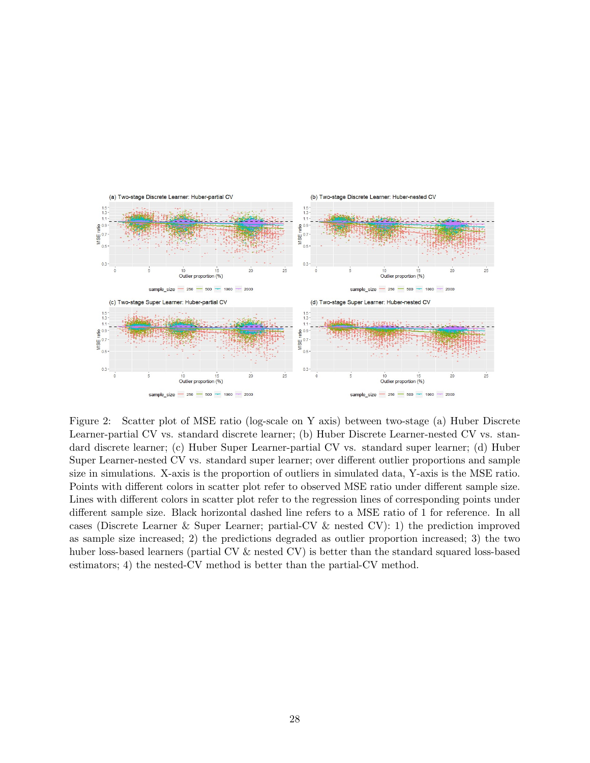

Figure 2: Scatter plot of MSE ratio (log-scale on Y axis) between two-stage (a) Huber Discrete Learner-partial CV vs. standard discrete learner; (b) Huber Discrete Learner-nested CV vs. standard discrete learner; (c) Huber Super Learner-partial CV vs. standard super learner; (d) Huber Super Learner-nested CV vs. standard super learner; over different outlier proportions and sample size in simulations. X-axis is the proportion of outliers in simulated data, Y-axis is the MSE ratio. Points with different colors in scatter plot refer to observed MSE ratio under different sample size. Lines with different colors in scatter plot refer to the regression lines of corresponding points under different sample size. Black horizontal dashed line refers to a MSE ratio of 1 for reference. In all cases (Discrete Learner & Super Learner; partial-CV & nested CV): 1) the prediction improved as sample size increased; 2) the predictions degraded as outlier proportion increased; 3) the two huber loss-based learners (partial CV & nested CV) is better than the standard squared loss-based estimators; 4) the nested-CV method is better than the partial-CV method.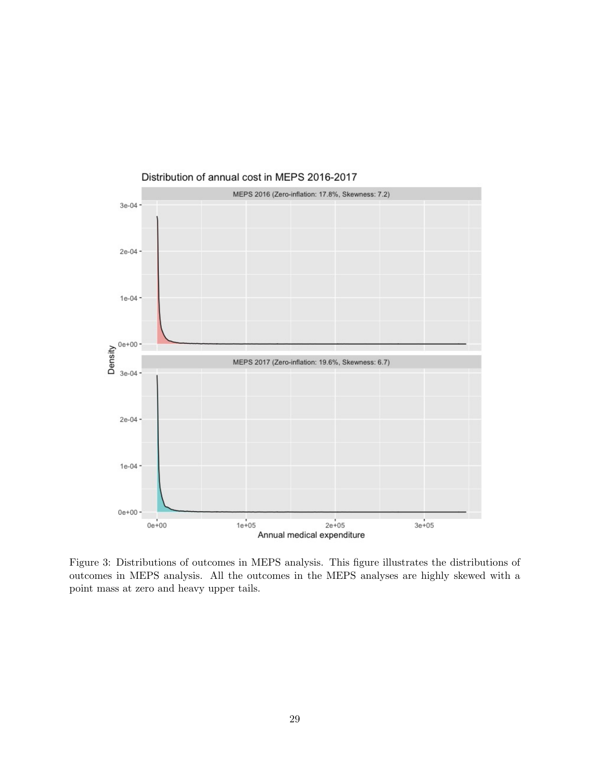

Distribution of annual cost in MEPS 2016-2017

Figure 3: Distributions of outcomes in MEPS analysis. This figure illustrates the distributions of outcomes in MEPS analysis. All the outcomes in the MEPS analyses are highly skewed with a point mass at zero and heavy upper tails.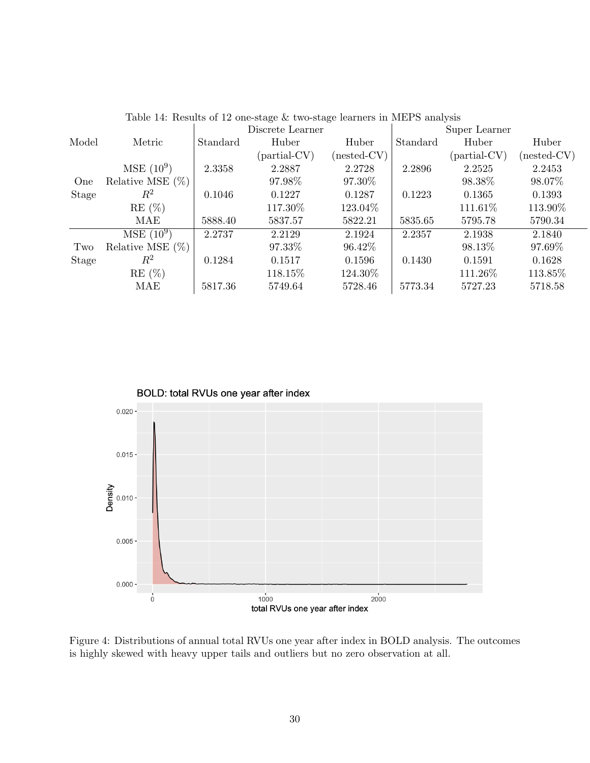| Table 14. Results of 12 one-stage & two-stage learners in MET S analysis |                     |                  |                      |               |          |                      |               |
|--------------------------------------------------------------------------|---------------------|------------------|----------------------|---------------|----------|----------------------|---------------|
|                                                                          |                     | Discrete Learner |                      |               |          | Super Learner        |               |
| Model                                                                    | Metric              | Standard         | Huber                | Huber         | Standard | Huber                | Huber         |
|                                                                          |                     |                  | ${\rm (partial-CV)}$ | $(nested-CV)$ |          | ${\rm (partial-CV)}$ | $(nested-CV)$ |
|                                                                          | $MSE(10^9)$         | 2.3358           | 2.2887               | 2.2728        | 2.2896   | 2.2525               | 2.2453        |
| One                                                                      | Relative MSE $(\%)$ |                  | 97.98%               | 97.30\%       |          | 98.38%               | 98.07\%       |
| Stage                                                                    | $\,R^2$             | 0.1046           | 0.1227               | 0.1287        | 0.1223   | 0.1365               | 0.1393        |
|                                                                          | $RE(\%)$            |                  | 117.30%              | 123.04%       |          | 111.61\%             | 113.90%       |
|                                                                          | MAE                 | 5888.40          | 5837.57              | 5822.21       | 5835.65  | 5795.78              | 5790.34       |
|                                                                          | $MSE(10^9)$         | 2.2737           | 2.2129               | 2.1924        | 2.2357   | 2.1938               | 2.1840        |
| Two                                                                      | Relative MSE $(\%)$ |                  | 97.33%               | 96.42\%       |          | 98.13%               | 97.69%        |
| Stage                                                                    | $\,R^2$             | 0.1284           | 0.1517               | 0.1596        | 0.1430   | 0.1591               | 0.1628        |
|                                                                          | $RE(\%)$            |                  | 118.15%              | 124.30%       |          | 111.26\%             | 113.85%       |
|                                                                          | MAE                 | 5817.36          | 5749.64              | 5728.46       | 5773.34  | 5727.23              | 5718.58       |

Table  $14$ : Results of 12 one-stage  $\&$  two-stage learners in MEPS analysis



Figure 4: Distributions of annual total RVUs one year after index in BOLD analysis. The outcomes is highly skewed with heavy upper tails and outliers but no zero observation at all.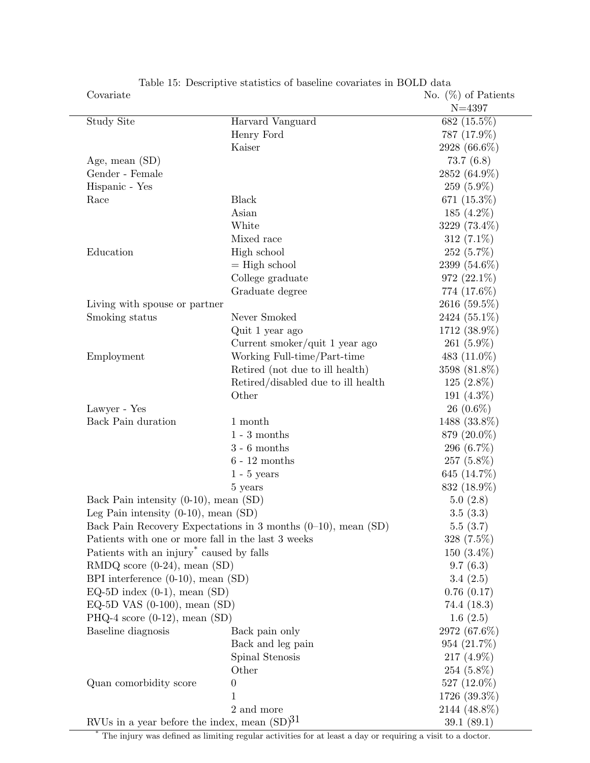| Covariate                                                                                                           |                                    | No. $(\%)$ of Patients     |
|---------------------------------------------------------------------------------------------------------------------|------------------------------------|----------------------------|
|                                                                                                                     |                                    | $N = 4397$                 |
| Study Site                                                                                                          | Harvard Vanguard                   | 682 (15.5%)                |
|                                                                                                                     | Henry Ford                         | 787 (17.9%)                |
|                                                                                                                     | Kaiser                             | 2928 (66.6%)               |
| Age, mean $(SD)$                                                                                                    |                                    | 73.7(6.8)                  |
| Gender - Female                                                                                                     |                                    | 2852 (64.9%)               |
| Hispanic - Yes                                                                                                      |                                    | $259(5.9\%)$               |
| Race                                                                                                                | <b>Black</b>                       | 671 (15.3%)                |
|                                                                                                                     | Asian                              | 185 $(4.2\%)$              |
|                                                                                                                     | White                              | 3229 (73.4%)               |
|                                                                                                                     | Mixed race                         | 312 (7.1%)                 |
| Education                                                                                                           | High school                        | $252(5.7\%)$               |
|                                                                                                                     | $=$ High school                    | 2399 (54.6%)               |
|                                                                                                                     | College graduate                   | 972 (22.1%)                |
|                                                                                                                     | Graduate degree                    | 774 (17.6%)                |
| Living with spouse or partner                                                                                       |                                    | 2616 (59.5%)               |
| Smoking status                                                                                                      | Never Smoked                       | 2424 (55.1%)               |
|                                                                                                                     | Quit 1 year ago                    | 1712 (38.9%)               |
|                                                                                                                     | Current smoker/quit 1 year ago     | 261 $(5.9\%)$              |
| Employment                                                                                                          | Working Full-time/Part-time        | 483 $(11.0\%)$             |
|                                                                                                                     | Retired (not due to ill health)    | 3598 (81.8%)               |
|                                                                                                                     | Retired/disabled due to ill health | $125(2.8\%)$               |
|                                                                                                                     | Other                              | 191 $(4.3\%)$              |
| Lawyer - Yes                                                                                                        |                                    | 26 $(0.6\%)$               |
| Back Pain duration                                                                                                  | 1 month                            | 1488 (33.8%)               |
|                                                                                                                     | $1 - 3$ months                     | 879 (20.0%)                |
|                                                                                                                     | $3 - 6$ months                     | 296 (6.7%)                 |
|                                                                                                                     | $6 - 12$ months                    | $257(5.8\%)$               |
|                                                                                                                     | $1 - 5$ years                      | 645 (14.7%)                |
|                                                                                                                     | 5 years                            | 832 (18.9%)                |
| Back Pain intensity $(0-10)$ , mean $(SD)$                                                                          |                                    | 5.0(2.8)                   |
| Leg Pain intensity $(0-10)$ , mean $(SD)$                                                                           |                                    | 3.5(3.3)                   |
|                                                                                                                     |                                    | 5.5(3.7)                   |
| Back Pain Recovery Expectations in 3 months (0-10), mean (SD)<br>Patients with one or more fall in the last 3 weeks |                                    | $328(7.5\%)$               |
| Patients with an injury <sup>*</sup> caused by falls                                                                |                                    | $150(3.4\%)$               |
| $\text{RMDQ score } (0-24)$ , mean $(\text{SD})$                                                                    |                                    | 9.7(6.3)                   |
|                                                                                                                     |                                    | 3.4(2.5)                   |
| BPI interference $(0-10)$ , mean $(SD)$                                                                             |                                    | 0.76(0.17)                 |
| EQ-5D index $(0-1)$ , mean $(SD)$<br>EQ-5D VAS $(0-100)$ , mean $(SD)$                                              |                                    | 74.4 (18.3)                |
| PHQ-4 score $(0-12)$ , mean $(SD)$                                                                                  |                                    | 1.6(2.5)                   |
| Baseline diagnosis                                                                                                  | Back pain only                     | 2972 (67.6%)               |
|                                                                                                                     | Back and leg pain                  | $954(21.7\%)$              |
|                                                                                                                     | Spinal Stenosis                    | 217 $(4.9\%)$              |
|                                                                                                                     | Other                              | $254(5.8\%)$               |
| Quan comorbidity score                                                                                              | $\theta$                           | 527 $(12.0\%)$             |
|                                                                                                                     | 1                                  |                            |
|                                                                                                                     | 2 and more                         | 1726 (39.3%)               |
| RVUs in a year before the index, mean $(SD)^{31}$                                                                   |                                    | 2144 (48.8%)<br>39.1(89.1) |
|                                                                                                                     |                                    |                            |

Table 15: Descriptive statistics of baseline covariates in BOLD data

\* The injury was defined as limiting regular activities for at least a day or requiring a visit to a doctor.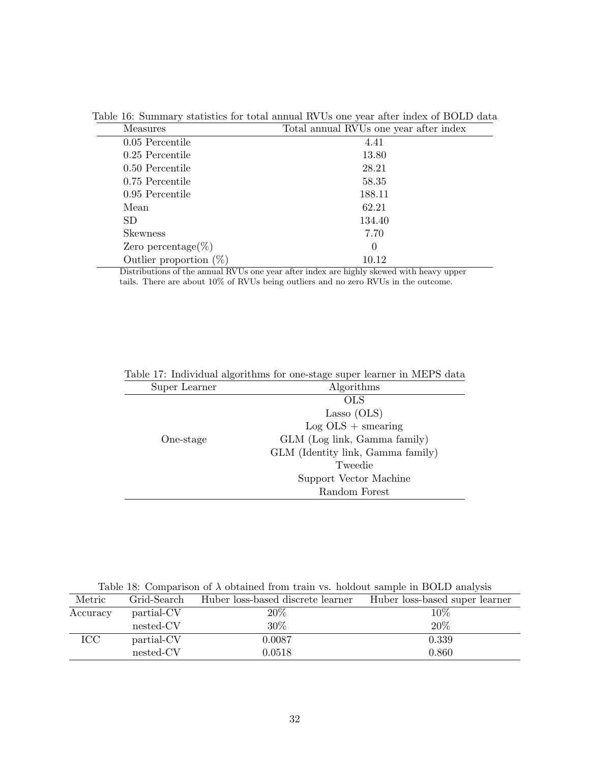| <b>Measures</b>           | Total annual RVUs one year after index |
|---------------------------|----------------------------------------|
| 0.05 Percentile           | 4.41                                   |
| 0.25 Percentile           | 13.80                                  |
| 0.50 Percentile           | 28.21                                  |
| 0.75 Percentile           | 58.35                                  |
| 0.95 Percentile           | 188.11                                 |
| Mean                      | 62.21                                  |
| SD.                       | 134.40                                 |
| <b>Skewness</b>           | 7.70                                   |
| Zero percentage(%)        | $\Omega$                               |
| Outlier proportion $(\%)$ | 10.12                                  |

Table 16: Summary statistics for total annual RVUs one year after index of BOLD data

Distributions of the annual RVUs one year after index are highly skewed with heavy upper tails. There are about 10% of RVUs being outliers and no zero RVUs in the outcome.

| Table 11. Individual algorithms for one-stage super learner in MET D data |                                   |  |  |
|---------------------------------------------------------------------------|-----------------------------------|--|--|
| Super Learner                                                             | Algorithms                        |  |  |
|                                                                           | OLS                               |  |  |
|                                                                           | Lasso (OLS)                       |  |  |
|                                                                           | $Log OLS + smearing$              |  |  |
| One-stage                                                                 | GLM (Log link, Gamma family)      |  |  |
|                                                                           | GLM (Identity link, Gamma family) |  |  |
|                                                                           | Tweedie                           |  |  |
|                                                                           | Support Vector Machine            |  |  |
|                                                                           | Random Forest                     |  |  |
|                                                                           |                                   |  |  |

Table 17: Individual algorithms for one-stage super learner in MEPS data

Table 18: Comparison of  $\lambda$  obtained from train vs. holdout sample in BOLD analysis

| Metric   | Grid-Search | Huber loss-based discrete learner | Huber loss-based super learner |
|----------|-------------|-----------------------------------|--------------------------------|
| Accuracy | partial-CV  | $20\%$                            | $10\%$                         |
|          | nested-CV   | 30%                               | 20%                            |
| ICC.     | partial-CV  | 0.0087                            | 0.339                          |
|          | nested-CV   | 0.0518                            | 0.860                          |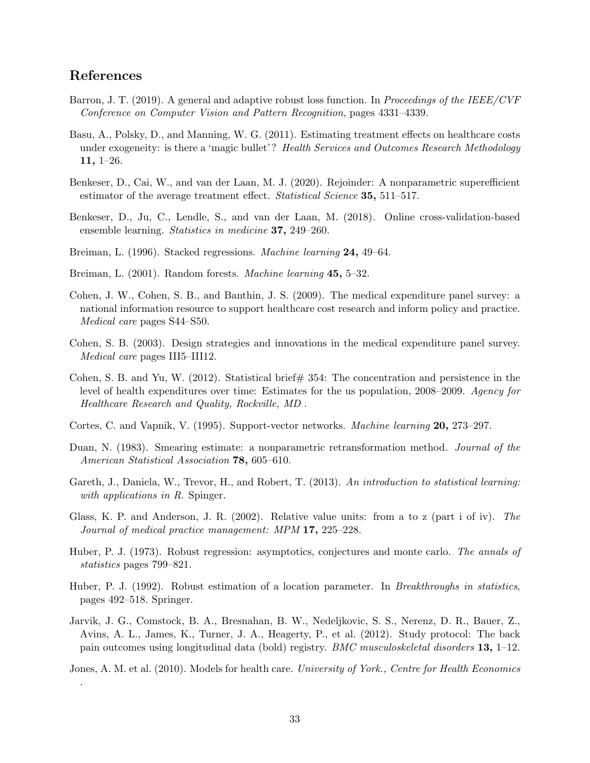## References

.

- Barron, J. T. (2019). A general and adaptive robust loss function. In Proceedings of the IEEE/CVF Conference on Computer Vision and Pattern Recognition, pages 4331–4339.
- Basu, A., Polsky, D., and Manning, W. G. (2011). Estimating treatment effects on healthcare costs under exogeneity: is there a 'magic bullet'? Health Services and Outcomes Research Methodology 11, 1–26.
- Benkeser, D., Cai, W., and van der Laan, M. J. (2020). Rejoinder: A nonparametric superefficient estimator of the average treatment effect. *Statistical Science* **35**, 511–517.
- Benkeser, D., Ju, C., Lendle, S., and van der Laan, M. (2018). Online cross-validation-based ensemble learning. Statistics in medicine 37, 249–260.
- Breiman, L. (1996). Stacked regressions. Machine learning 24, 49–64.
- Breiman, L. (2001). Random forests. *Machine learning* 45, 5–32.
- Cohen, J. W., Cohen, S. B., and Banthin, J. S. (2009). The medical expenditure panel survey: a national information resource to support healthcare cost research and inform policy and practice. Medical care pages S44–S50.
- Cohen, S. B. (2003). Design strategies and innovations in the medical expenditure panel survey. Medical care pages III5–III12.
- Cohen, S. B. and Yu, W. (2012). Statistical brief  $\#$  354: The concentration and persistence in the level of health expenditures over time: Estimates for the us population, 2008–2009. Agency for Healthcare Research and Quality, Rockville, MD .
- Cortes, C. and Vapnik, V. (1995). Support-vector networks. Machine learning 20, 273–297.
- Duan, N. (1983). Smearing estimate: a nonparametric retransformation method. Journal of the American Statistical Association **78**, 605–610.
- Gareth, J., Daniela, W., Trevor, H., and Robert, T. (2013). An introduction to statistical learning: with applications in R. Spinger.
- Glass, K. P. and Anderson, J. R. (2002). Relative value units: from a to z (part i of iv). The Journal of medical practice management: MPM 17, 225–228.
- Huber, P. J. (1973). Robust regression: asymptotics, conjectures and monte carlo. The annals of statistics pages 799–821.
- Huber, P. J. (1992). Robust estimation of a location parameter. In *Breakthroughs in statistics*, pages 492–518. Springer.
- Jarvik, J. G., Comstock, B. A., Bresnahan, B. W., Nedeljkovic, S. S., Nerenz, D. R., Bauer, Z., Avins, A. L., James, K., Turner, J. A., Heagerty, P., et al. (2012). Study protocol: The back pain outcomes using longitudinal data (bold) registry. BMC musculoskeletal disorders 13, 1–12.

Jones, A. M. et al. (2010). Models for health care. University of York., Centre for Health Economics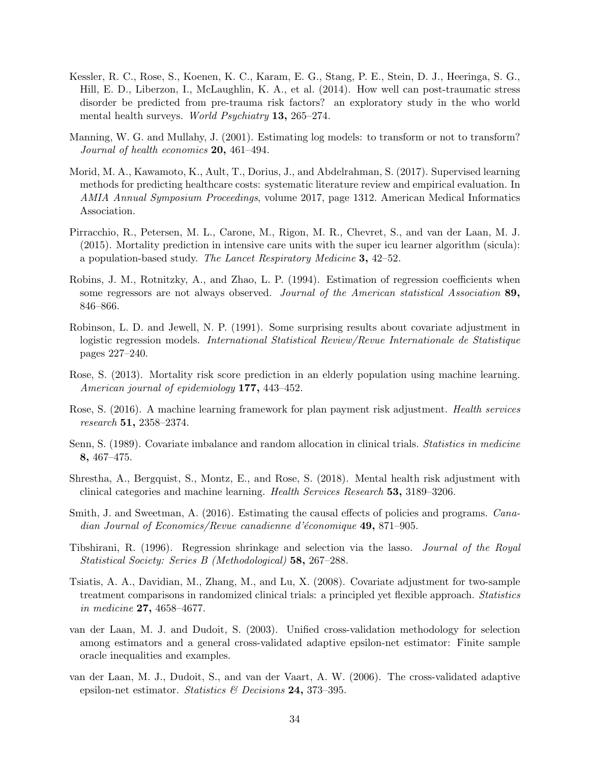- Kessler, R. C., Rose, S., Koenen, K. C., Karam, E. G., Stang, P. E., Stein, D. J., Heeringa, S. G., Hill, E. D., Liberzon, I., McLaughlin, K. A., et al. (2014). How well can post-traumatic stress disorder be predicted from pre-trauma risk factors? an exploratory study in the who world mental health surveys. World Psychiatry 13, 265–274.
- Manning, W. G. and Mullahy, J. (2001). Estimating log models: to transform or not to transform? Journal of health economics **20**, 461–494.
- Morid, M. A., Kawamoto, K., Ault, T., Dorius, J., and Abdelrahman, S. (2017). Supervised learning methods for predicting healthcare costs: systematic literature review and empirical evaluation. In AMIA Annual Symposium Proceedings, volume 2017, page 1312. American Medical Informatics Association.
- Pirracchio, R., Petersen, M. L., Carone, M., Rigon, M. R., Chevret, S., and van der Laan, M. J. (2015). Mortality prediction in intensive care units with the super icu learner algorithm (sicula): a population-based study. The Lancet Respiratory Medicine 3, 42–52.
- Robins, J. M., Rotnitzky, A., and Zhao, L. P. (1994). Estimation of regression coefficients when some regressors are not always observed. Journal of the American statistical Association 89, 846–866.
- Robinson, L. D. and Jewell, N. P. (1991). Some surprising results about covariate adjustment in logistic regression models. International Statistical Review/Revue Internationale de Statistique pages 227–240.
- Rose, S. (2013). Mortality risk score prediction in an elderly population using machine learning. American journal of epidemiology **177,** 443–452.
- Rose, S. (2016). A machine learning framework for plan payment risk adjustment. Health services research 51, 2358–2374.
- Senn, S. (1989). Covariate imbalance and random allocation in clinical trials. Statistics in medicine 8, 467–475.
- Shrestha, A., Bergquist, S., Montz, E., and Rose, S. (2018). Mental health risk adjustment with clinical categories and machine learning. Health Services Research 53, 3189–3206.
- Smith, J. and Sweetman, A. (2016). Estimating the causal effects of policies and programs. *Cana*dian Journal of Economics/Revue canadienne d'économique **49,** 871–905.
- Tibshirani, R. (1996). Regression shrinkage and selection via the lasso. Journal of the Royal Statistical Society: Series B (Methodological) 58, 267–288.
- Tsiatis, A. A., Davidian, M., Zhang, M., and Lu, X. (2008). Covariate adjustment for two-sample treatment comparisons in randomized clinical trials: a principled yet flexible approach. Statistics in medicine 27, 4658–4677.
- van der Laan, M. J. and Dudoit, S. (2003). Unified cross-validation methodology for selection among estimators and a general cross-validated adaptive epsilon-net estimator: Finite sample oracle inequalities and examples.
- van der Laan, M. J., Dudoit, S., and van der Vaart, A. W. (2006). The cross-validated adaptive epsilon-net estimator. Statistics & Decisions 24, 373-395.